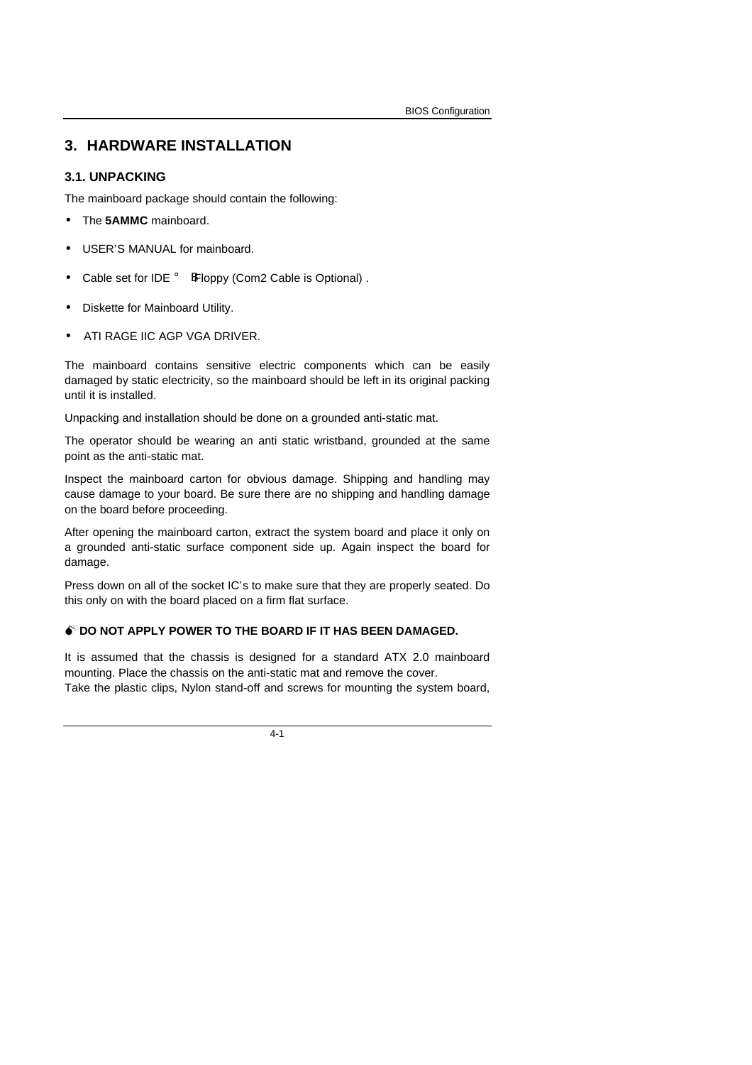# **3. HARDWARE INSTALLATION**

## **3.1. UNPACKING**

The mainboard package should contain the following:

- The **5AMMC** mainboard.
- USER'S MANUAL for mainboard.
- Cable set for IDE ; BFloppy (Com2 Cable is Optional).
- Diskette for Mainboard Utility.
- ATI RAGE IIC AGP VGA DRIVER.

The mainboard contains sensitive electric components which can be easily damaged by static electricity, so the mainboard should be left in its original packing until it is installed.

Unpacking and installation should be done on a grounded anti-static mat.

The operator should be wearing an anti static wristband, grounded at the same point as the anti-static mat.

Inspect the mainboard carton for obvious damage. Shipping and handling may cause damage to your board. Be sure there are no shipping and handling damage on the board before proceeding.

After opening the mainboard carton, extract the system board and place it only on a grounded anti-static surface component side up. Again inspect the board for damage.

Press down on all of the socket IC's to make sure that they are properly seated. Do this only on with the board placed on a firm flat surface.

## **MDO NOT APPLY POWER TO THE BOARD IF IT HAS BEEN DAMAGED.**

It is assumed that the chassis is designed for a standard ATX 2.0 mainboard mounting. Place the chassis on the anti-static mat and remove the cover. Take the plastic clips, Nylon stand-off and screws for mounting the system board,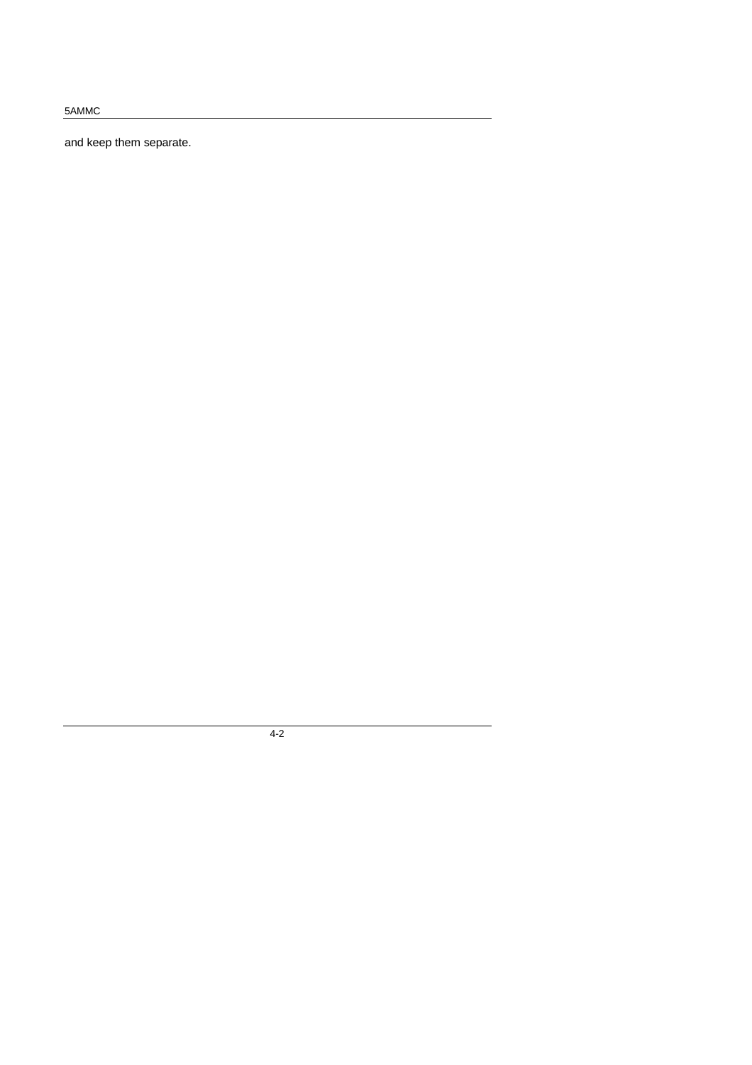and keep them separate.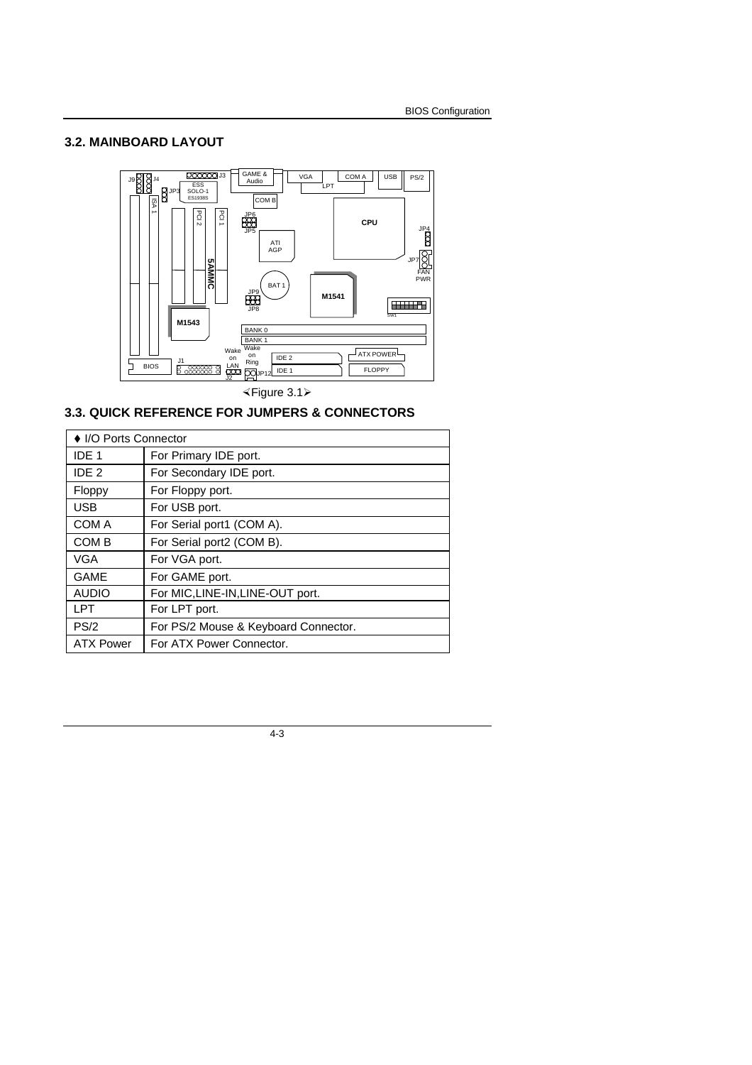# **3.2. MAINBOARD LAYOUT**



×Figure 3.1ÿ

# **3.3. QUICK REFERENCE FOR JUMPERS & CONNECTORS**

| • I/O Ports Connector |                                      |  |  |  |
|-----------------------|--------------------------------------|--|--|--|
| IDE <sub>1</sub>      | For Primary IDE port.                |  |  |  |
| IDE <sub>2</sub>      | For Secondary IDE port.              |  |  |  |
| Floppy                | For Floppy port.                     |  |  |  |
| <b>USB</b>            | For USB port.                        |  |  |  |
| COM A                 | For Serial port1 (COM A).            |  |  |  |
| COM <sub>B</sub>      | For Serial port2 (COM B).            |  |  |  |
| VGA                   | For VGA port.                        |  |  |  |
| GAME                  | For GAME port.                       |  |  |  |
| <b>AUDIO</b>          | For MIC, LINE-IN, LINE-OUT port.     |  |  |  |
| LPT                   | For LPT port.                        |  |  |  |
| PS/2                  | For PS/2 Mouse & Keyboard Connector. |  |  |  |
| <b>ATX Power</b>      | For ATX Power Connector.             |  |  |  |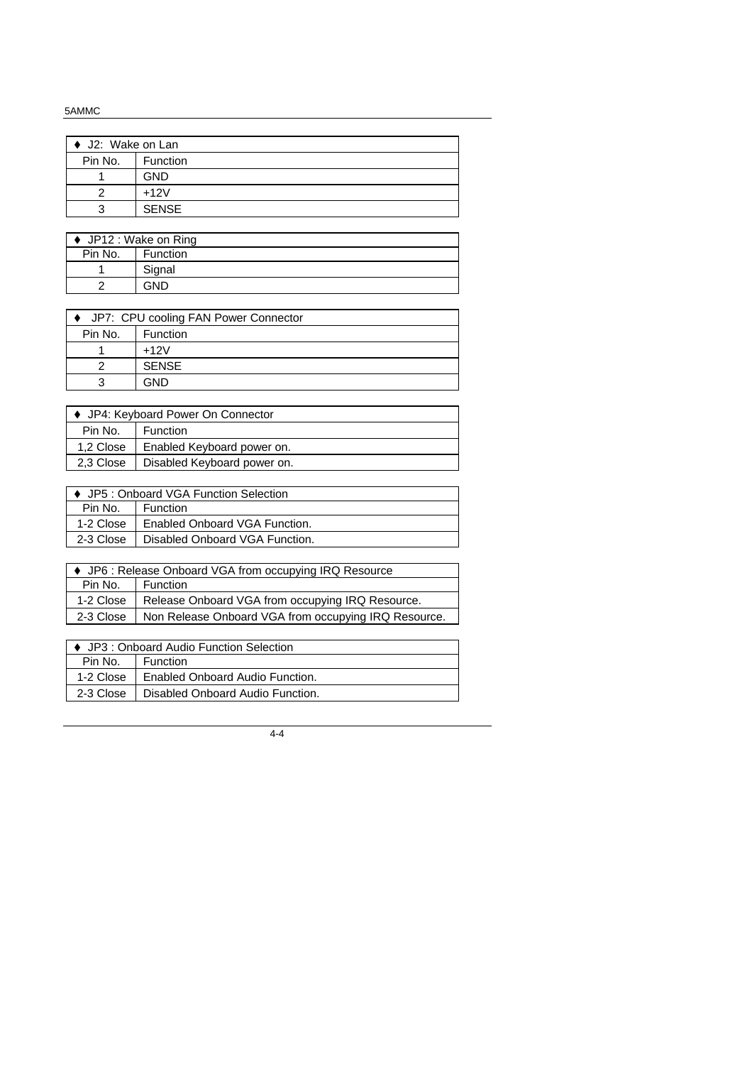| ♦ J2: Wake on Lan |              |  |  |  |
|-------------------|--------------|--|--|--|
| Pin No.           | Function     |  |  |  |
|                   | <b>GND</b>   |  |  |  |
|                   | $+12V$       |  |  |  |
| ว                 | <b>SENSE</b> |  |  |  |

| ♦ JP12 : Wake on Ring |                 |  |  |
|-----------------------|-----------------|--|--|
| Pin No.               | <b>Function</b> |  |  |
|                       | Signal          |  |  |
|                       | GND             |  |  |

| ♦ JP7: CPU cooling FAN Power Connector |                 |  |  |  |
|----------------------------------------|-----------------|--|--|--|
| Pin No.                                | <b>Function</b> |  |  |  |
|                                        | $+12V$          |  |  |  |
|                                        | <b>SENSE</b>    |  |  |  |
| з                                      | GND             |  |  |  |
|                                        |                 |  |  |  |

| ♦ JP4: Keyboard Power On Connector       |                            |  |  |  |
|------------------------------------------|----------------------------|--|--|--|
| Pin No.                                  | <b>Function</b>            |  |  |  |
| 1,2 Close                                | Enabled Keyboard power on. |  |  |  |
| Disabled Keyboard power on.<br>2,3 Close |                            |  |  |  |

| ♦ JP5 : Onboard VGA Function Selection |                                |  |  |  |
|----------------------------------------|--------------------------------|--|--|--|
| Pin No.                                | Function                       |  |  |  |
| 1-2 Close                              | Enabled Onboard VGA Function.  |  |  |  |
| 2-3 Close                              | Disabled Onboard VGA Function. |  |  |  |
|                                        |                                |  |  |  |

| ♦ JP6 : Release Onboard VGA from occupying IRQ Resource |                                                      |  |  |
|---------------------------------------------------------|------------------------------------------------------|--|--|
| Pin No.                                                 | Function                                             |  |  |
| 1-2 Close                                               | Release Onboard VGA from occupying IRQ Resource.     |  |  |
| 2-3 Close                                               | Non Release Onboard VGA from occupying IRQ Resource. |  |  |

| ♦ JP3 : Onboard Audio Function Selection |                                  |  |  |
|------------------------------------------|----------------------------------|--|--|
| Pin No.                                  | Function                         |  |  |
| 1-2 Close                                | Enabled Onboard Audio Function.  |  |  |
| 2-3 Close                                | Disabled Onboard Audio Function. |  |  |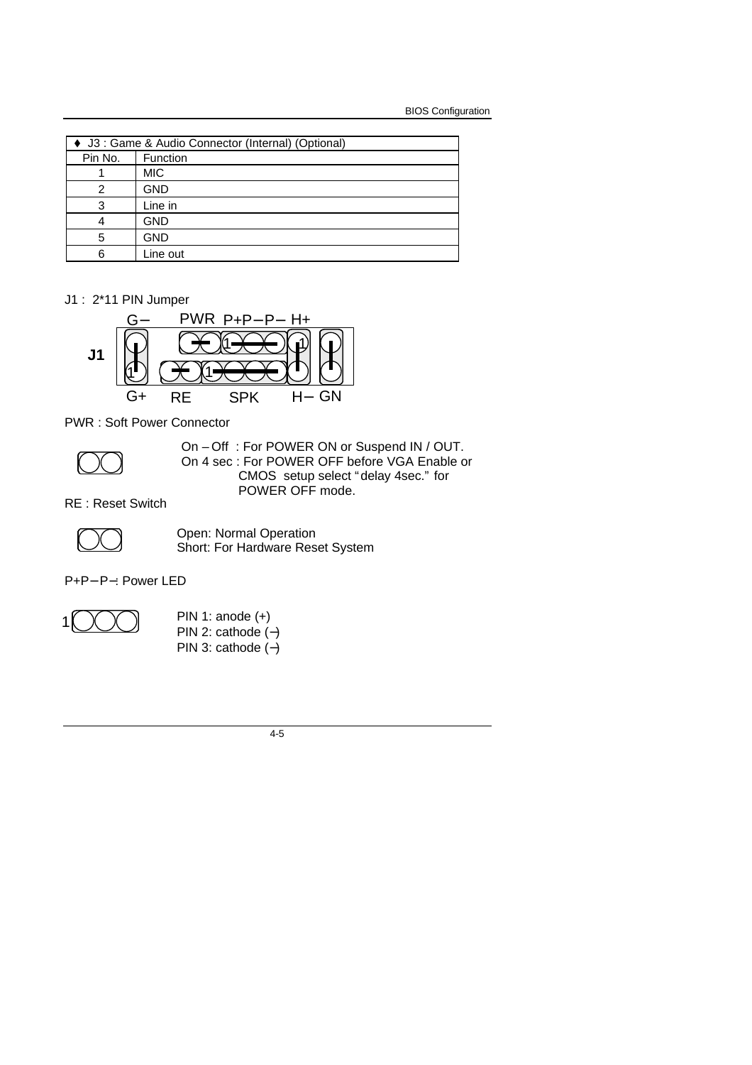| ♦ J3 : Game & Audio Connector (Internal) (Optional) |            |  |  |
|-----------------------------------------------------|------------|--|--|
| Pin No.                                             | Function   |  |  |
|                                                     | <b>MIC</b> |  |  |
|                                                     | <b>GND</b> |  |  |
| 3                                                   | Line in    |  |  |
|                                                     | <b>GND</b> |  |  |
| 5                                                   | <b>GND</b> |  |  |
| 6                                                   | Line out   |  |  |

J1 : 2\*11 PIN Jumper



PWR : Soft Power Connector



On – Off : For POWER ON or Suspend IN / OUT. On 4 sec : For POWER OFF before VGA Enable or CMOS setup select "delay 4sec." for POWER OFF mode.

RE : Reset Switch



Open: Normal Operation Short: For Hardware Reset System

P+P− P−: Power LED



PIN 1: anode (+) PIN 2: cathode (−) PIN 3: cathode (−)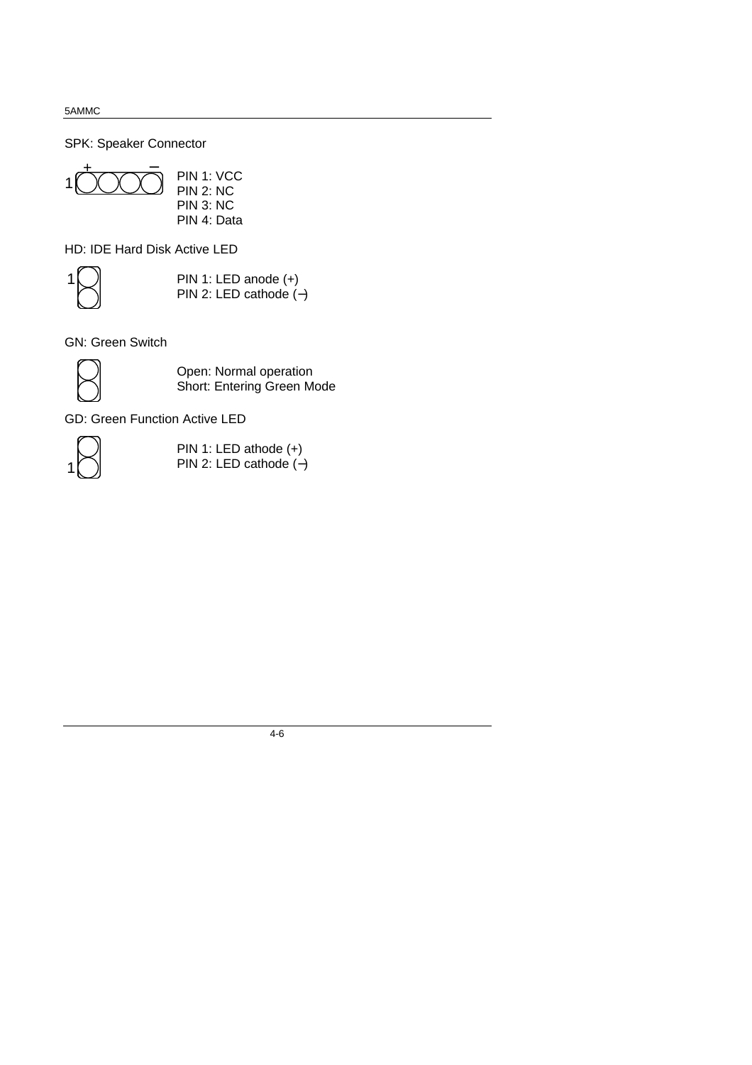SPK: Speaker Connector

$$
1\n\underbrace{\bigodot\bigodot\bigodot}_{\text{PIN 2: NC}}\n\begin{array}{c}\n\text{PIN 1: VCC} \\
\text{PIN 2: NC} \\
\text{PIN 3: NC} \\
\text{PIN 4: Data}\n\end{array}
$$

HD: IDE Hard Disk Active LED

1

PIN 1: LED anode (+) PIN 2: LED cathode (−)

GN: Green Switch



Open: Normal operation Short: Entering Green Mode

GD: Green Function Active LED



PIN 1: LED athode (+) PIN 2: LED cathode (−)

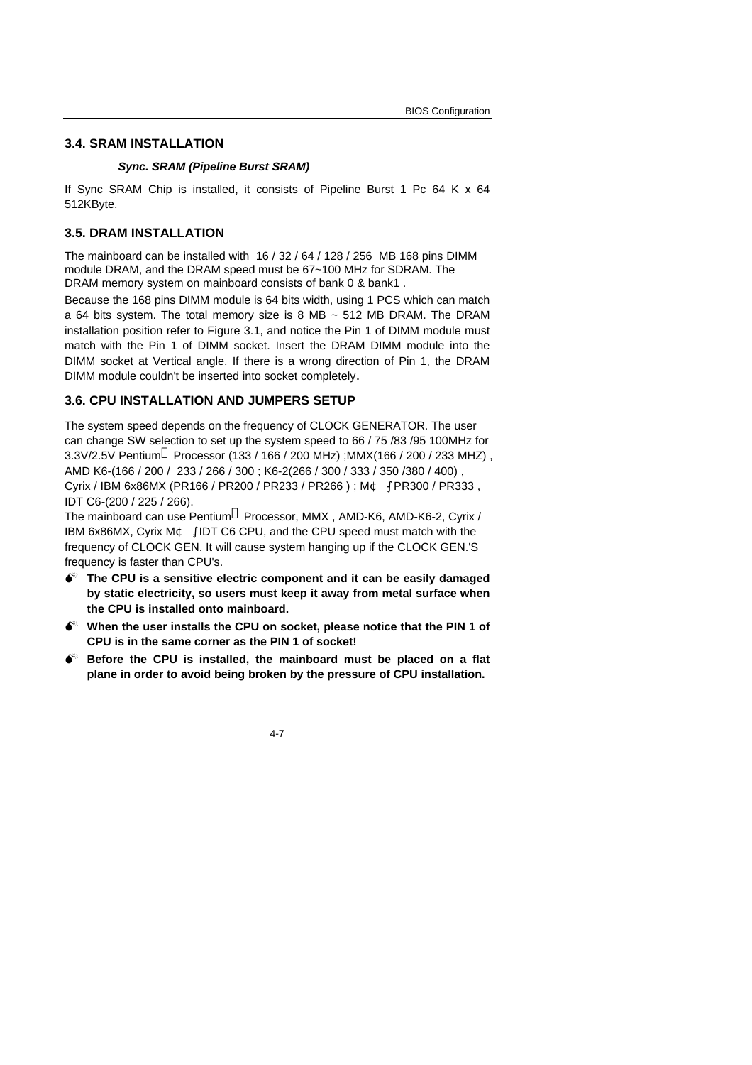#### **3.4. SRAM INSTALLATION**

#### *Sync. SRAM (Pipeline Burst SRAM)*

If Sync SRAM Chip is installed, it consists of Pipeline Burst 1 Pc 64 K x 64 512KByte.

### **3.5. DRAM INSTALLATION**

The mainboard can be installed with 16 / 32 / 64 / 128 / 256 MB 168 pins DIMM module DRAM, and the DRAM speed must be 67~100 MHz for SDRAM. The DRAM memory system on mainboard consists of bank 0 & bank1 .

Because the 168 pins DIMM module is 64 bits width, using 1 PCS which can match a 64 bits system. The total memory size is 8 MB  $\sim$  512 MB DRAM. The DRAM installation position refer to Figure 3.1, and notice the Pin 1 of DIMM module must match with the Pin 1 of DIMM socket. Insert the DRAM DIMM module into the DIMM socket at Vertical angle. If there is a wrong direction of Pin 1, the DRAM DIMM module couldn't be inserted into socket completely.

#### **3.6. CPU INSTALLATION AND JUMPERS SETUP**

The system speed depends on the frequency of CLOCK GENERATOR. The user can change SW selection to set up the system speed to 66 / 75 /83 /95 100MHz for 3.3V/2.5V Pentium<sup>®</sup> Processor (133 / 166 / 200 MHz); MMX(166 / 200 / 233 MHZ), AMD K6-(166 / 200 / 233 / 266 / 300 ; K6-2(266 / 300 / 333 / 350 /380 / 400) , Cyrix / IBM 6x86MX (PR166 / PR200 / PR233 / PR266) ; MC ºPR300 / PR333, IDT C6-(200 / 225 / 266).

The mainboard can use Pentium<sup>®</sup> Processor, MMX, AMD-K6, AMD-K6-2, Cyrix / IBM 6x86MX, Cyrix MC <sup>o</sup>, ODT C6 CPU, and the CPU speed must match with the frequency of CLOCK GEN. It will cause system hanging up if the CLOCK GEN.'S frequency is faster than CPU's.

- $\bullet^*$  The CPU is a sensitive electric component and it can be easily damaged **by static electricity, so users must keep it away from metal surface when the CPU is installed onto mainboard.**
- $\bullet^*$  When the user installs the CPU on socket, please notice that the PIN 1 of **CPU is in the same corner as the PIN 1 of socket!**
- $\bullet^*$  Before the CPU is installed, the mainboard must be placed on a flat **plane in order to avoid being broken by the pressure of CPU installation.**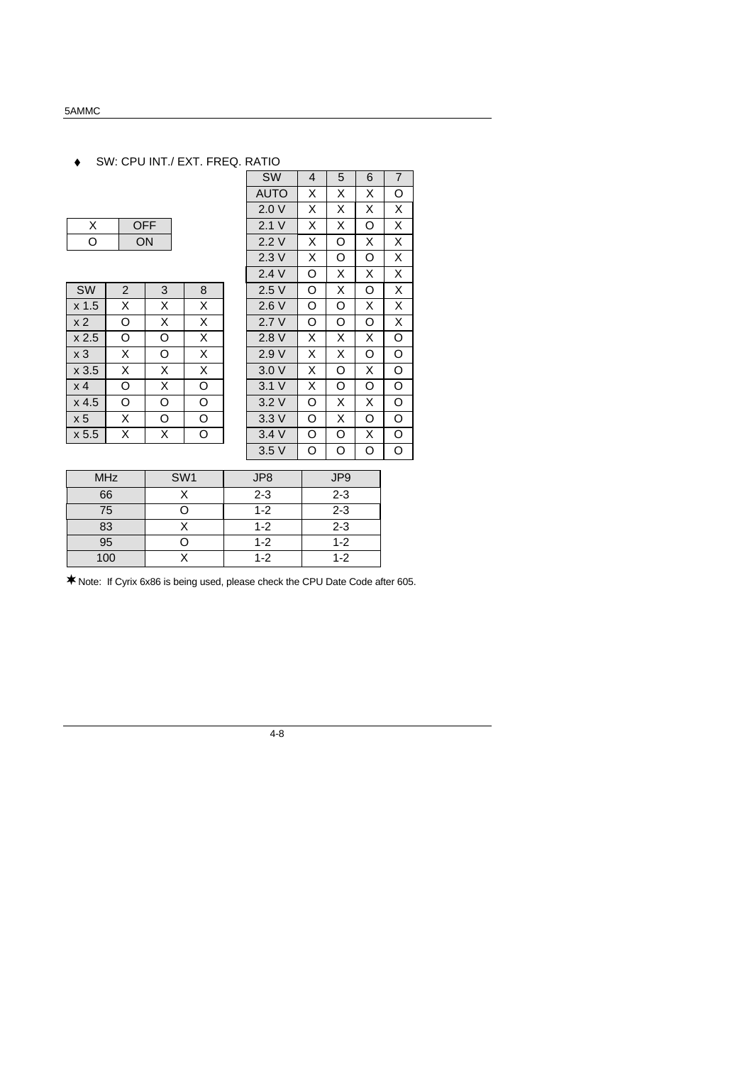# ◆ SW: CPU INT./ EXT. FREQ. RATIO

| OFF |
|-----|
| ΟN  |

| SW               | 2 | 3 | 8 |
|------------------|---|---|---|
| x <sub>1.5</sub> | Χ | Х | x |
| x <sub>2</sub>   | O | Χ | x |
| x2.5             | O | O | x |
| x <sub>3</sub>   | x | O | x |
| x3.5             | x | Х | X |
| x <sub>4</sub>   | O | X | Ω |
| $x$ 4.5          | O | O | O |
| x <sub>5</sub>   | x | റ | O |
| x 5.5            | x | x | ∩ |

| SW: CPU INT./ EXT. FREQ. RATIO<br>٠ |                |            |   |  |             |   |   |   |                |
|-------------------------------------|----------------|------------|---|--|-------------|---|---|---|----------------|
|                                     |                |            |   |  | <b>SW</b>   | 4 | 5 | 6 | $\overline{7}$ |
|                                     |                |            |   |  | <b>AUTO</b> | X | X | X | O              |
|                                     |                |            |   |  | 2.0V        | X | X | X | X              |
| X                                   |                | <b>OFF</b> |   |  | 2.1V        | X | X | O | X              |
| O                                   |                | ON         |   |  | 2.2V        | X | O | X | X              |
|                                     |                |            |   |  | 2.3V        | Х | O | O | X              |
|                                     |                |            |   |  | 2.4V        | O | х | Х | Χ              |
| <b>SW</b>                           | $\overline{2}$ | 3          | 8 |  | 2.5V        | O | X | O | X              |
| x 1.5                               | X.             | X          | X |  | 2.6V        | O | O | X | X              |
| x 2                                 | O              | X          | X |  | 2.7V        | O | O | O | X              |
| x 2.5                               | O              | O          | Χ |  | 2.8V        | X | Χ | X | O              |
| x 3                                 | X              | O          | Χ |  | 2.9V        | X | X | O | O              |
| x 3.5                               | X              | X          | X |  | 3.0V        | X | O | X | O              |
| x 4                                 | O              | X          | O |  | 3.1V        | X | O | O | O              |
| x 4.5                               | O              | O          | O |  | 3.2V        | O | X | X | O              |
| x 5                                 | X              | O          | O |  | 3.3V        | O | Χ | O | O              |
| x 5.5                               | X              | Χ          | O |  | 3.4V        | O | O | X | O              |
|                                     |                |            |   |  | 3.5V        | O | O | O | O              |

| <b>MHz</b> | SW <sub>1</sub> | JP8     | JP <sub>9</sub> |
|------------|-----------------|---------|-----------------|
| 66         |                 | $2 - 3$ | $2 - 3$         |
| 75         |                 | $1 - 2$ | $2 - 3$         |
| 83         |                 | $1 - 2$ | $2 - 3$         |
| 95         |                 | $1 - 2$ | $1 - 2$         |
| 100        |                 | $1 - 2$ | $1 - 2$         |

 $*$  Note: If Cyrix 6x86 is being used, please check the CPU Date Code after 605.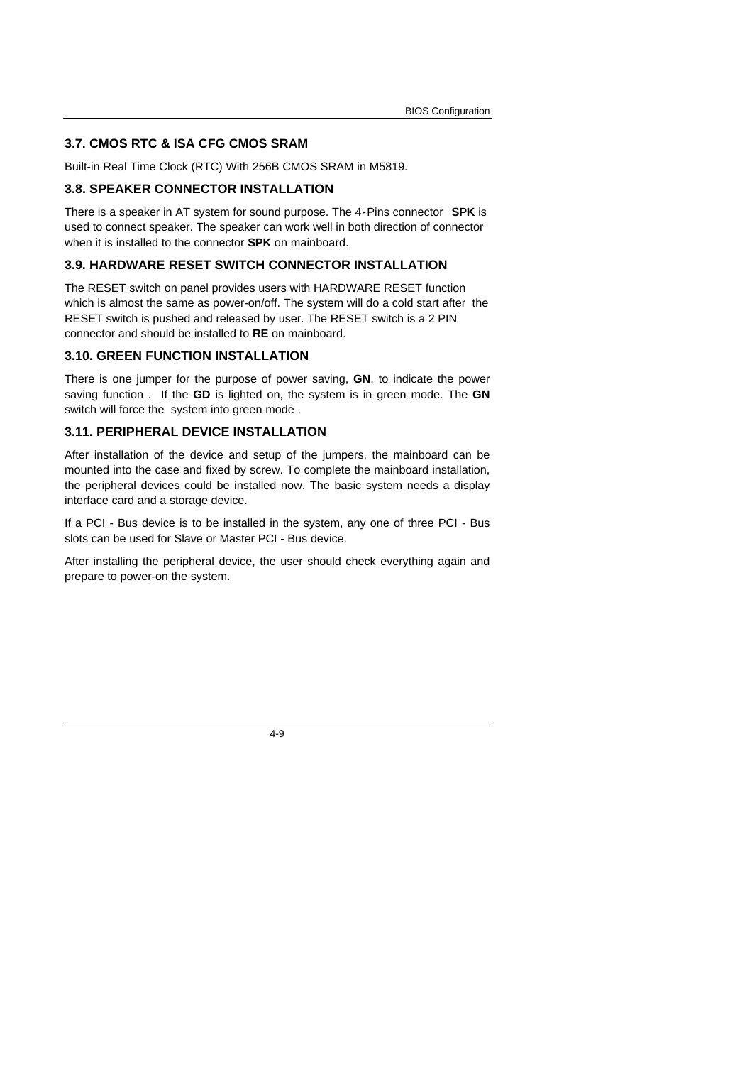### **3.7. CMOS RTC & ISA CFG CMOS SRAM**

Built-in Real Time Clock (RTC) With 256B CMOS SRAM in M5819.

#### **3.8. SPEAKER CONNECTOR INSTALLATION**

There is a speaker in AT system for sound purpose. The 4-Pins connector **SPK** is used to connect speaker. The speaker can work well in both direction of connector when it is installed to the connector **SPK** on mainboard.

### **3.9. HARDWARE RESET SWITCH CONNECTOR INSTALLATION**

The RESET switch on panel provides users with HARDWARE RESET function which is almost the same as power-on/off. The system will do a cold start after the RESET switch is pushed and released by user. The RESET switch is a 2 PIN connector and should be installed to **RE** on mainboard.

## **3.10. GREEN FUNCTION INSTALLATION**

There is one jumper for the purpose of power saving, **GN**, to indicate the power saving function . If the **GD** is lighted on, the system is in green mode. The **GN** switch will force the system into green mode .

#### **3.11. PERIPHERAL DEVICE INSTALLATION**

After installation of the device and setup of the jumpers, the mainboard can be mounted into the case and fixed by screw. To complete the mainboard installation, the peripheral devices could be installed now. The basic system needs a display interface card and a storage device.

If a PCI - Bus device is to be installed in the system, any one of three PCI - Bus slots can be used for Slave or Master PCI - Bus device.

After installing the peripheral device, the user should check everything again and prepare to power-on the system.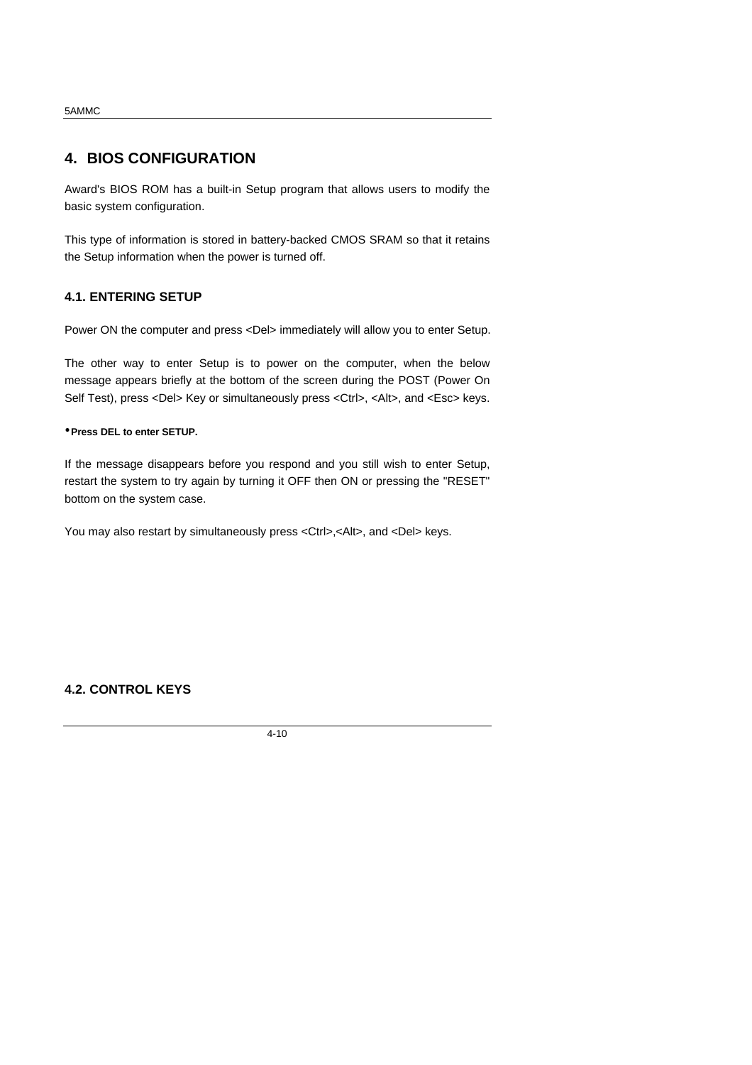# **4. BIOS CONFIGURATION**

Award's BIOS ROM has a built-in Setup program that allows users to modify the basic system configuration.

This type of information is stored in battery-backed CMOS SRAM so that it retains the Setup information when the power is turned off.

### **4.1. ENTERING SETUP**

Power ON the computer and press <Del> immediately will allow you to enter Setup.

The other way to enter Setup is to power on the computer, when the below message appears briefly at the bottom of the screen during the POST (Power On Self Test), press <Del> Key or simultaneously press <Ctrl>, <Alt>, and <Esc> keys.

#### **üPress DEL to enter SETUP.**

If the message disappears before you respond and you still wish to enter Setup, restart the system to try again by turning it OFF then ON or pressing the "RESET" bottom on the system case.

You may also restart by simultaneously press <Ctrl>,<Alt>, and <Del> keys.

# **4.2. CONTROL KEYS**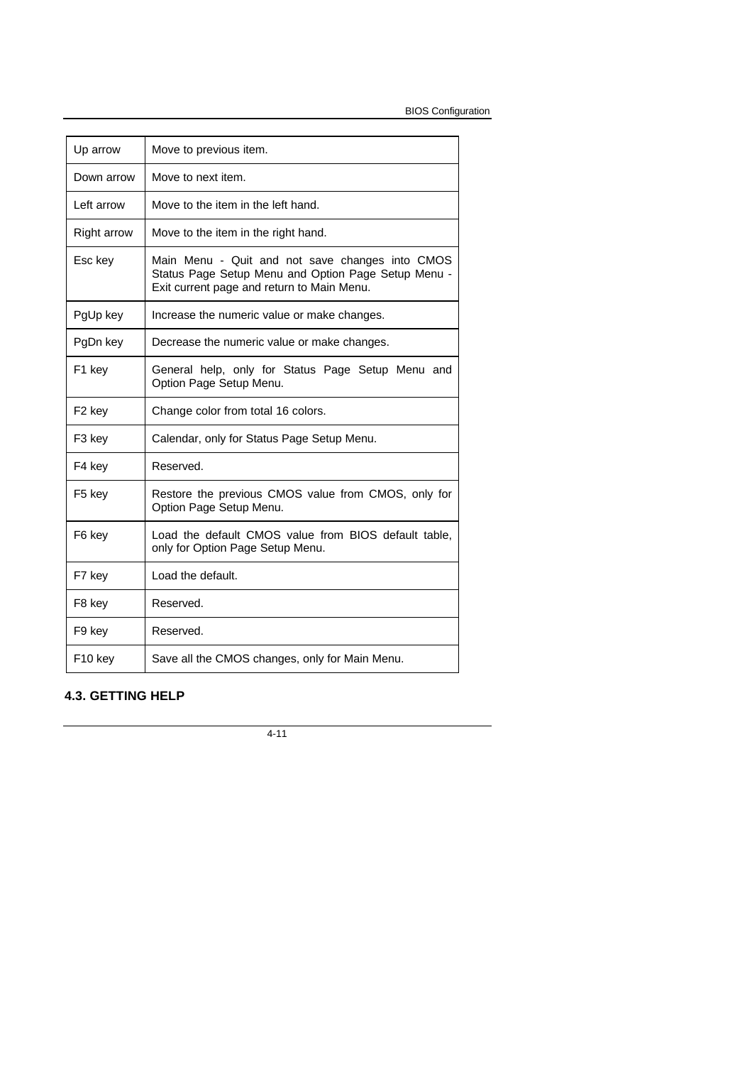BIOS Configuration

| Up arrow            | Move to previous item.                                                                                                                               |
|---------------------|------------------------------------------------------------------------------------------------------------------------------------------------------|
| Down arrow          | Move to next item.                                                                                                                                   |
| Left arrow          | Move to the item in the left hand.                                                                                                                   |
| <b>Right arrow</b>  | Move to the item in the right hand.                                                                                                                  |
| Esc key             | Main Menu - Quit and not save changes into CMOS<br>Status Page Setup Menu and Option Page Setup Menu -<br>Exit current page and return to Main Menu. |
| PgUp key            | Increase the numeric value or make changes.                                                                                                          |
| PgDn key            | Decrease the numeric value or make changes.                                                                                                          |
| F1 key              | General help, only for Status Page Setup Menu and<br>Option Page Setup Menu.                                                                         |
| F <sub>2</sub> key  | Change color from total 16 colors.                                                                                                                   |
| F3 key              | Calendar, only for Status Page Setup Menu.                                                                                                           |
| F4 kev              | Reserved.                                                                                                                                            |
| F <sub>5</sub> key  | Restore the previous CMOS value from CMOS, only for<br>Option Page Setup Menu.                                                                       |
| F6 key              | Load the default CMOS value from BIOS default table.<br>only for Option Page Setup Menu.                                                             |
| F7 key              | Load the default.                                                                                                                                    |
| F8 key              | Reserved.                                                                                                                                            |
| F9 key              | Reserved.                                                                                                                                            |
| F <sub>10</sub> key | Save all the CMOS changes, only for Main Menu.                                                                                                       |

# **4.3. GETTING HELP**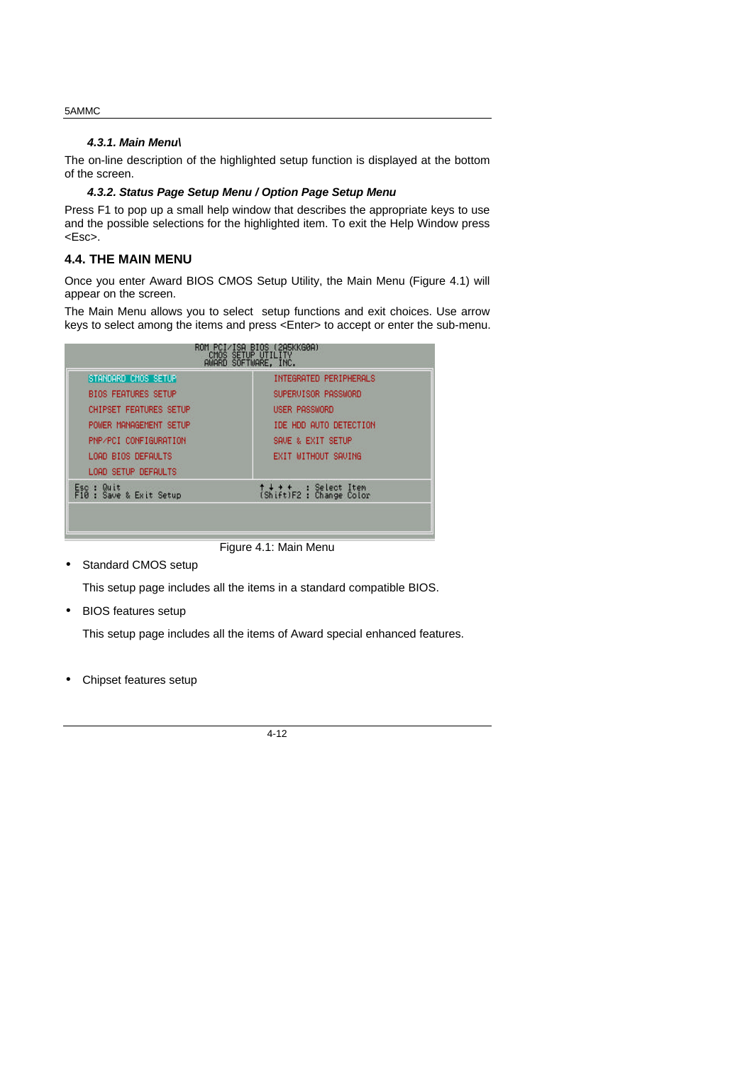#### *4.3.1. Main Menu\*

The on-line description of the highlighted setup function is displayed at the bottom of the screen.

### *4.3.2. Status Page Setup Menu / Option Page Setup Menu*

Press F1 to pop up a small help window that describes the appropriate keys to use and the possible selections for the highlighted item. To exit the Help Window press <Esc>.

## **4.4. THE MAIN MENU**

Once you enter Award BIOS CMOS Setup Utility, the Main Menu (Figure 4.1) will appear on the screen.

The Main Menu allows you to select setup functions and exit choices. Use arrow keys to select among the items and press <Enter> to accept or enter the sub-menu.

| STANDARD CMOS SETUP                   | INTEGRATED PERIPHERALS             |
|---------------------------------------|------------------------------------|
| <b>BIOS FEATURES SETUP</b>            | SUPERUISOR PASSWORD                |
| <b>CHIPSET FEATURES SETUP</b>         | USER PASSWORD                      |
| POWER MANAGEMENT SETUP                | IDE HDD AUTO DETECTION             |
| PNP/PCI CONFIGURATION                 | SAVE & EXIT SETUP                  |
| LOAD BIOS DEFAULTS                    | EXIT WITHOUT SAVING                |
| <b>LOAD SETUP DEFAULTS</b>            |                                    |
| Esc : Quit<br>F10 : Save & Exit Setup | ↑↓ ◆ ←<br>(Shift)F2 : Change Color |

Figure 4.1: Main Menu

Standard CMOS setup

This setup page includes all the items in a standard compatible BIOS.

• BIOS features setup

This setup page includes all the items of Award special enhanced features.

Chipset features setup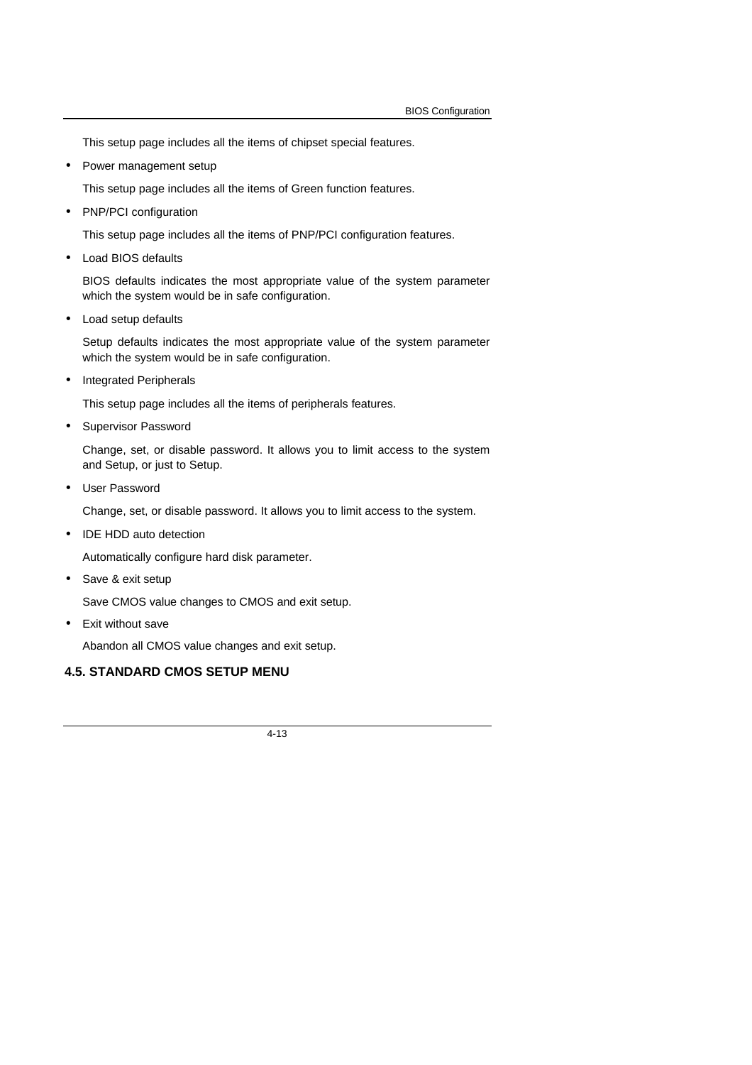This setup page includes all the items of chipset special features.

• Power management setup

This setup page includes all the items of Green function features.

• PNP/PCI configuration

This setup page includes all the items of PNP/PCI configuration features.

• Load BIOS defaults

BIOS defaults indicates the most appropriate value of the system parameter which the system would be in safe configuration.

• Load setup defaults

Setup defaults indicates the most appropriate value of the system parameter which the system would be in safe configuration.

• Integrated Peripherals

This setup page includes all the items of peripherals features.

• Supervisor Password

Change, set, or disable password. It allows you to limit access to the system and Setup, or just to Setup.

• User Password

Change, set, or disable password. It allows you to limit access to the system.

• IDE HDD auto detection

Automatically configure hard disk parameter.

• Save & exit setup

Save CMOS value changes to CMOS and exit setup.

• Exit without save

Abandon all CMOS value changes and exit setup.

# **4.5. STANDARD CMOS SETUP MENU**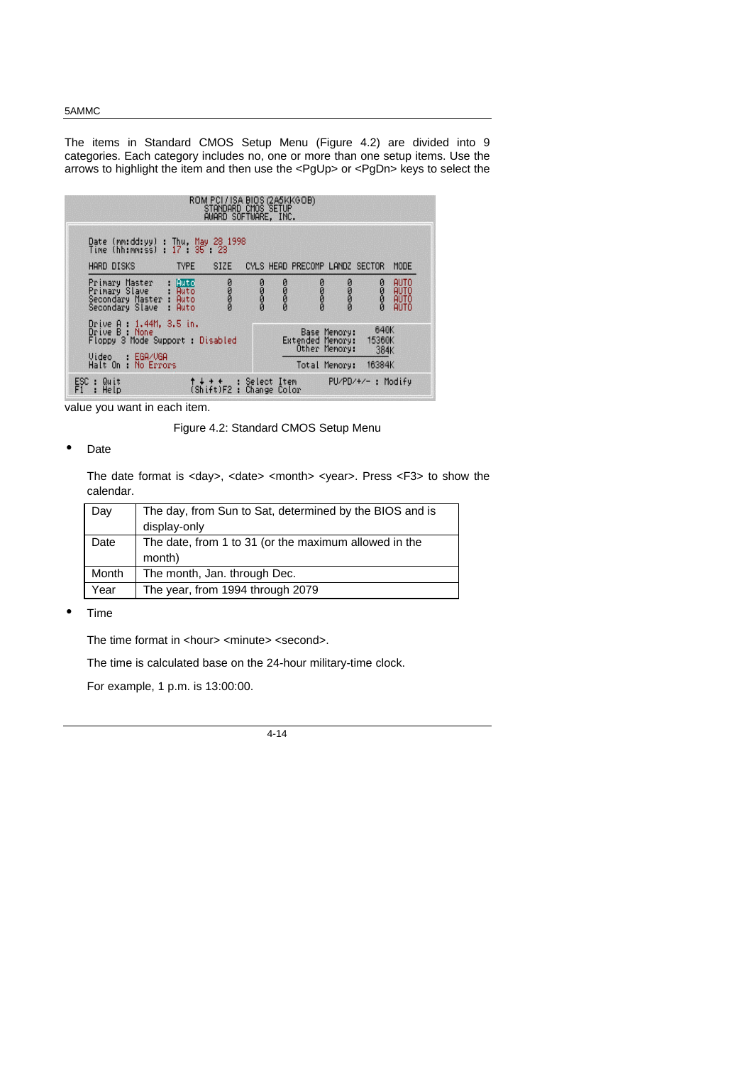The items in Standard CMOS Setup Menu (Figure 4.2) are divided into 9 categories. Each category includes no, one or more than one setup items. Use the arrows to highlight the item and then use the <PgUp> or <PgDn> keys to select the

|                                                                                                                                    | ROM PCI/ISA BIOS (2A5KKGOB)<br>STANDARD_CMOS_SETUP<br>AWARD SOFTWARE, INC. |              |      |                                   |              |                        |                                                   |
|------------------------------------------------------------------------------------------------------------------------------------|----------------------------------------------------------------------------|--------------|------|-----------------------------------|--------------|------------------------|---------------------------------------------------|
| Date (mm:dd:yy) : Thu, May 28 1998<br>Time (hh:mm:ss) : 17 : 35 23                                                                 |                                                                            |              |      |                                   |              |                        |                                                   |
| HARD DISKS                                                                                                                         | SIZE<br><b>TYPE</b>                                                        |              |      | CYLS HEAD PRECOMP LANDZ SECTOR    |              |                        | MODE                                              |
| Primary Master<br><b>Auto</b><br>Primary Slave<br>Secondary Master : Auto<br>Secondary Slave<br>$\left\langle \cdot \right\rangle$ | 2000<br>Auto<br>Auto                                                       | DODO         | 2000 | 00000                             | 2000         | ooooo                  | <b>AUTO</b><br>AUTO<br><b>AUTO</b><br><b>AUTO</b> |
| Drive A : 1.44M, 3.5 in.<br>Drive B : None<br>Floppy 3 Mode Support : Disabled                                                     |                                                                            |              |      | Extended Memory:<br>Other Memory: | Base Memory: | 640K<br>15360K<br>384K |                                                   |
| Video : EGA/VGA<br>Halt On No Errors                                                                                               |                                                                            |              |      | Total Memory:                     |              | 16384K                 |                                                   |
| $\mathsf{esc}$ :<br>Quit<br>: Help<br>F1.                                                                                          | T ↓ + +   : Select Item<br>(Shift)F2 : Change Color                        | Change Color |      |                                   |              | $PU/PD/+/-$ : Modify   |                                                   |

value you want in each item.

Figure 4.2: Standard CMOS Setup Menu

#### • Date

The date format is <day>, <date> <month> <year>. Press <F3> to show the calendar.

| Day   | The day, from Sun to Sat, determined by the BIOS and is<br>display-only |
|-------|-------------------------------------------------------------------------|
| Date  | The date, from 1 to 31 (or the maximum allowed in the<br>month)         |
| Month | The month, Jan. through Dec.                                            |
| Year  | The year, from 1994 through 2079                                        |

• Time

The time format in <hour> <minute> <second>.

The time is calculated base on the 24-hour military-time clock.

For example, 1 p.m. is 13:00:00.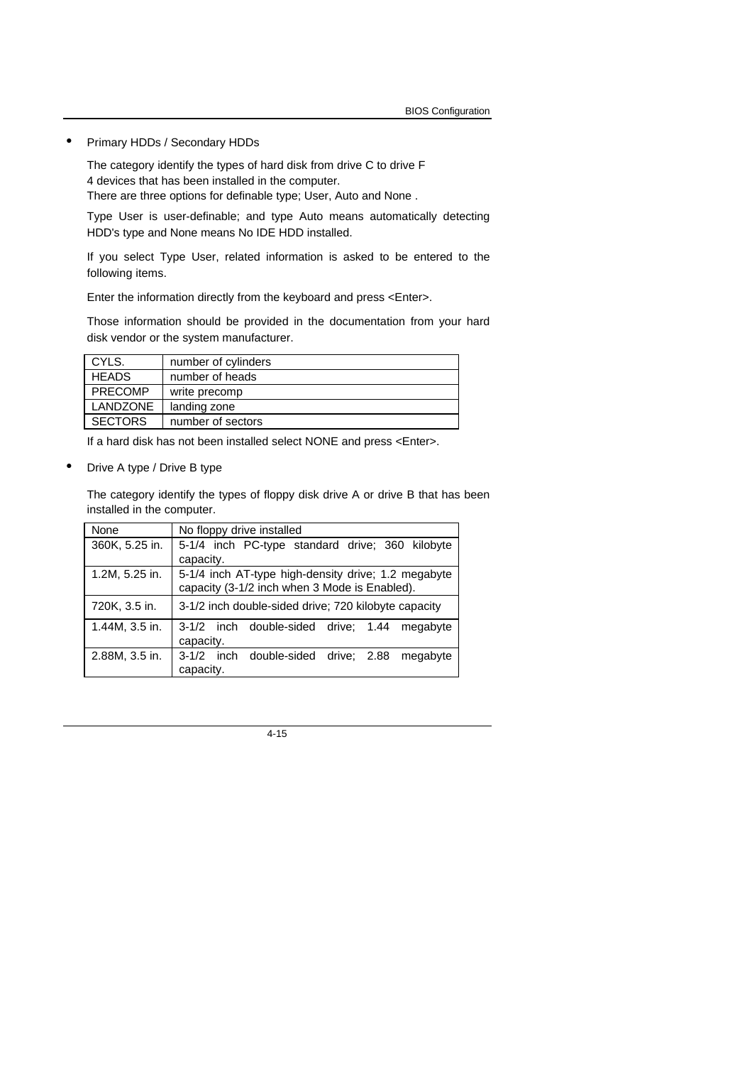#### • Primary HDDs / Secondary HDDs

The category identify the types of hard disk from drive C to drive F 4 devices that has been installed in the computer. There are three options for definable type; User, Auto and None .

Type User is user-definable; and type Auto means automatically detecting HDD's type and None means No IDE HDD installed.

If you select Type User, related information is asked to be entered to the following items.

Enter the information directly from the keyboard and press <Enter>.

Those information should be provided in the documentation from your hard disk vendor or the system manufacturer.

| CYLS.          | number of cylinders |
|----------------|---------------------|
| <b>HEADS</b>   | number of heads     |
| <b>PRECOMP</b> | write precomp       |
| LANDZONE       | landing zone        |
| <b>SECTORS</b> | number of sectors   |

If a hard disk has not been installed select NONE and press <Enter>.

• Drive A type / Drive B type

The category identify the types of floppy disk drive A or drive B that has been installed in the computer.

| None           | No floppy drive installed                            |
|----------------|------------------------------------------------------|
| 360K, 5.25 in. | 5-1/4 inch PC-type standard drive; 360 kilobyte      |
|                | capacity.                                            |
| 1.2M, 5.25 in. | 5-1/4 inch AT-type high-density drive; 1.2 megabyte  |
|                | capacity (3-1/2 inch when 3 Mode is Enabled).        |
| 720K, 3.5 in.  | 3-1/2 inch double-sided drive; 720 kilobyte capacity |
| 1.44M, 3.5 in. | 3-1/2 inch double-sided drive; 1.44<br>megabyte      |
|                | capacity.                                            |
| 2.88M, 3.5 in. | 3-1/2 inch double-sided drive; 2.88<br>megabyte      |
|                | capacity.                                            |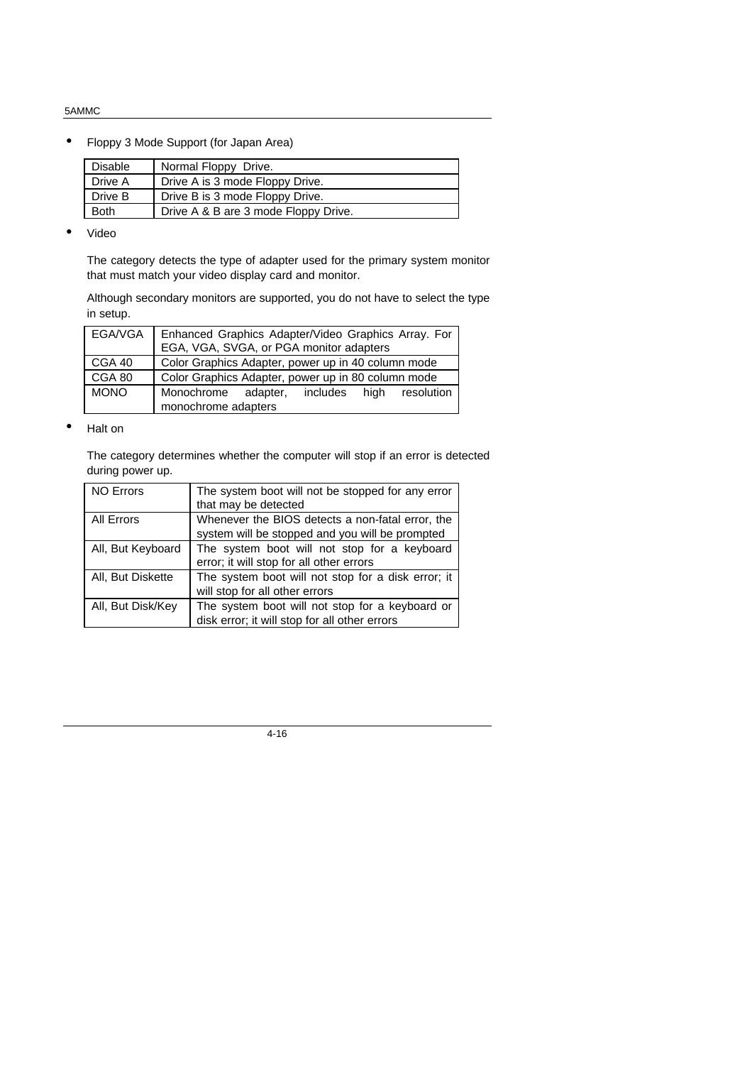• Floppy 3 Mode Support (for Japan Area)

| <b>Disable</b> | Normal Floppy Drive.                 |
|----------------|--------------------------------------|
| Drive A        | Drive A is 3 mode Floppy Drive.      |
| Drive B        | Drive B is 3 mode Floppy Drive.      |
| <b>Both</b>    | Drive A & B are 3 mode Floppy Drive. |

• Video

The category detects the type of adapter used for the primary system monitor that must match your video display card and monitor.

Although secondary monitors are supported, you do not have to select the type in setup.

| EGA/VGA     | Enhanced Graphics Adapter/Video Graphics Array. For<br>EGA, VGA, SVGA, or PGA monitor adapters |  |  |
|-------------|------------------------------------------------------------------------------------------------|--|--|
| CGA 40      | Color Graphics Adapter, power up in 40 column mode                                             |  |  |
| CGA 80      | Color Graphics Adapter, power up in 80 column mode                                             |  |  |
| <b>MONO</b> | Monochrome adapter, includes high resolution<br>monochrome adapters                            |  |  |

#### • Halt on

The category determines whether the computer will stop if an error is detected during power up.

| <b>NO Errors</b>  | The system boot will not be stopped for any error<br>that may be detected                           |
|-------------------|-----------------------------------------------------------------------------------------------------|
| <b>All Errors</b> | Whenever the BIOS detects a non-fatal error, the<br>system will be stopped and you will be prompted |
| All, But Keyboard | The system boot will not stop for a keyboard<br>error; it will stop for all other errors            |
| All, But Diskette | The system boot will not stop for a disk error; it<br>will stop for all other errors                |
| All, But Disk/Key | The system boot will not stop for a keyboard or<br>disk error; it will stop for all other errors    |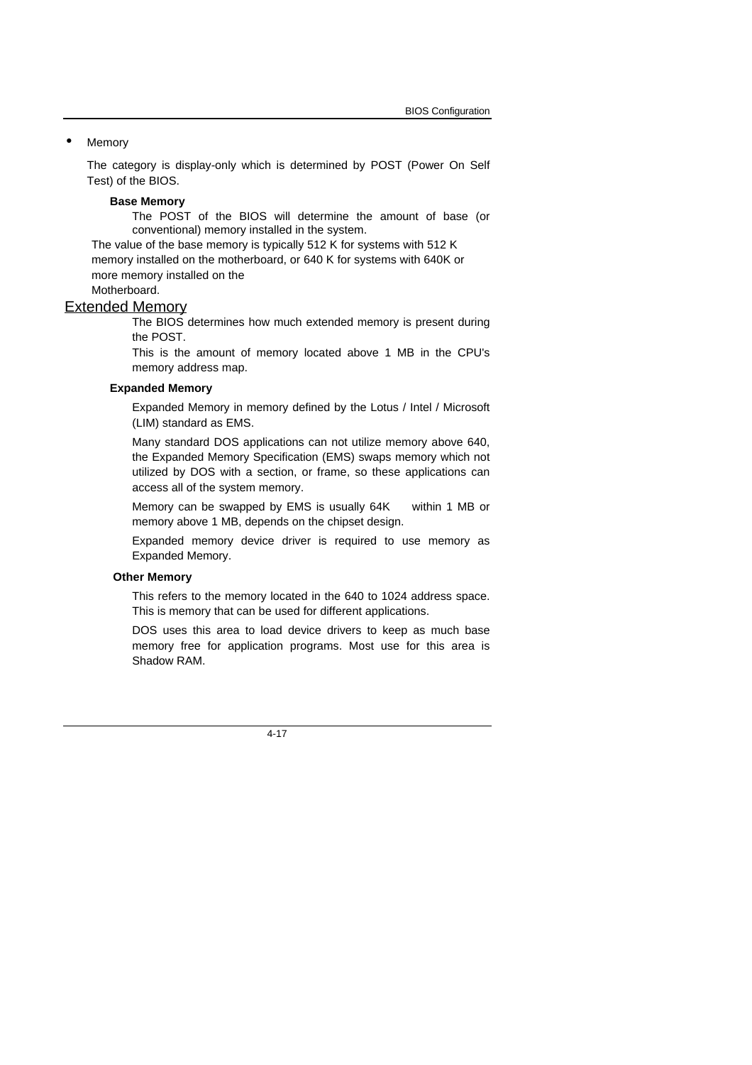#### **Memory**

The category is display-only which is determined by POST (Power On Self Test) of the BIOS.

### **Base Memory**

The POST of the BIOS will determine the amount of base (or conventional) memory installed in the system.

The value of the base memory is typically 512 K for systems with 512 K memory installed on the motherboard, or 640 K for systems with 640K or more memory installed on the

# Motherboard.

## Extended Memory

The BIOS determines how much extended memory is present during the POST.

This is the amount of memory located above 1 MB in the CPU's memory address map.

## **Expanded Memory**

Expanded Memory in memory defined by the Lotus / Intel / Microsoft (LIM) standard as EMS.

Many standard DOS applications can not utilize memory above 640, the Expanded Memory Specification (EMS) swaps memory which not utilized by DOS with a section, or frame, so these applications can access all of the system memory.

Memory can be swapped by EMS is usually 64K within 1 MB or memory above 1 MB, depends on the chipset design.

Expanded memory device driver is required to use memory as Expanded Memory.

#### **Other Memory**

This refers to the memory located in the 640 to 1024 address space. This is memory that can be used for different applications.

DOS uses this area to load device drivers to keep as much base memory free for application programs. Most use for this area is Shadow RAM.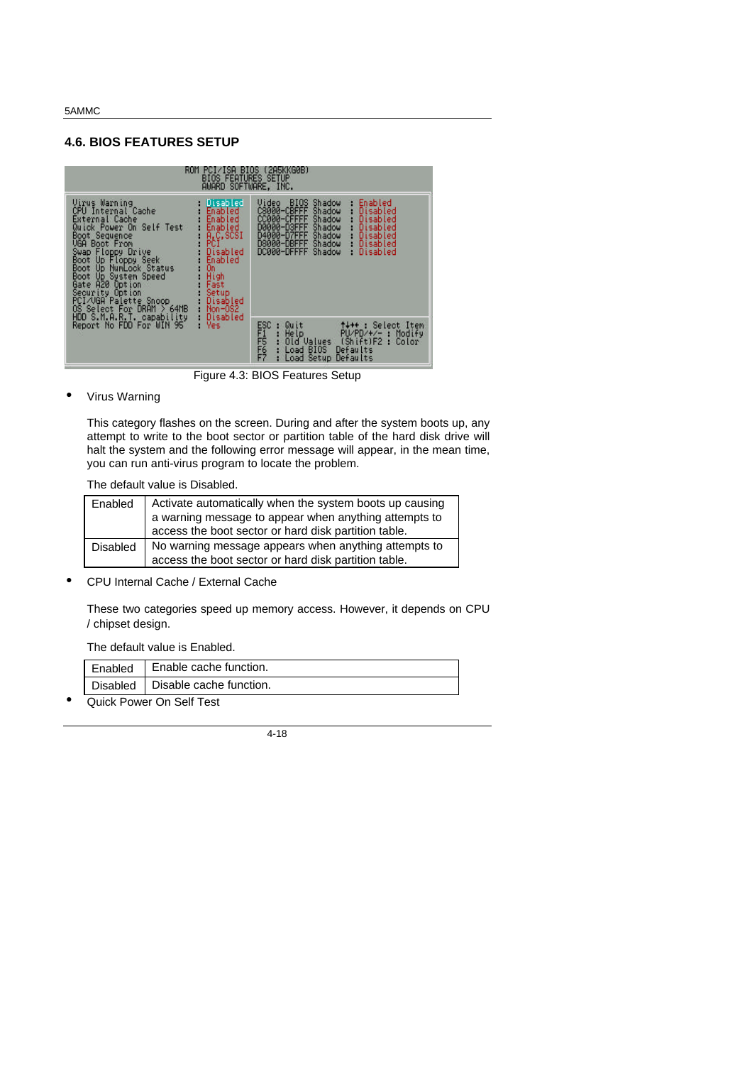## **4.6. BIOS FEATURES SETUP**



Figure 4.3: BIOS Features Setup

• Virus Warning

This category flashes on the screen. During and after the system boots up, any attempt to write to the boot sector or partition table of the hard disk drive will halt the system and the following error message will appear, in the mean time, you can run anti-virus program to locate the problem.

The default value is Disabled.

| Enabled         | Activate automatically when the system boots up causing |
|-----------------|---------------------------------------------------------|
|                 | a warning message to appear when anything attempts to   |
|                 | access the boot sector or hard disk partition table.    |
| <b>Disabled</b> | No warning message appears when anything attempts to    |
|                 | access the boot sector or hard disk partition table.    |

• CPU Internal Cache / External Cache

These two categories speed up memory access. However, it depends on CPU / chipset design.

The default value is Enabled.

| Enabled   Enable cache function.   |
|------------------------------------|
| Disabled   Disable cache function. |

• Quick Power On Self Test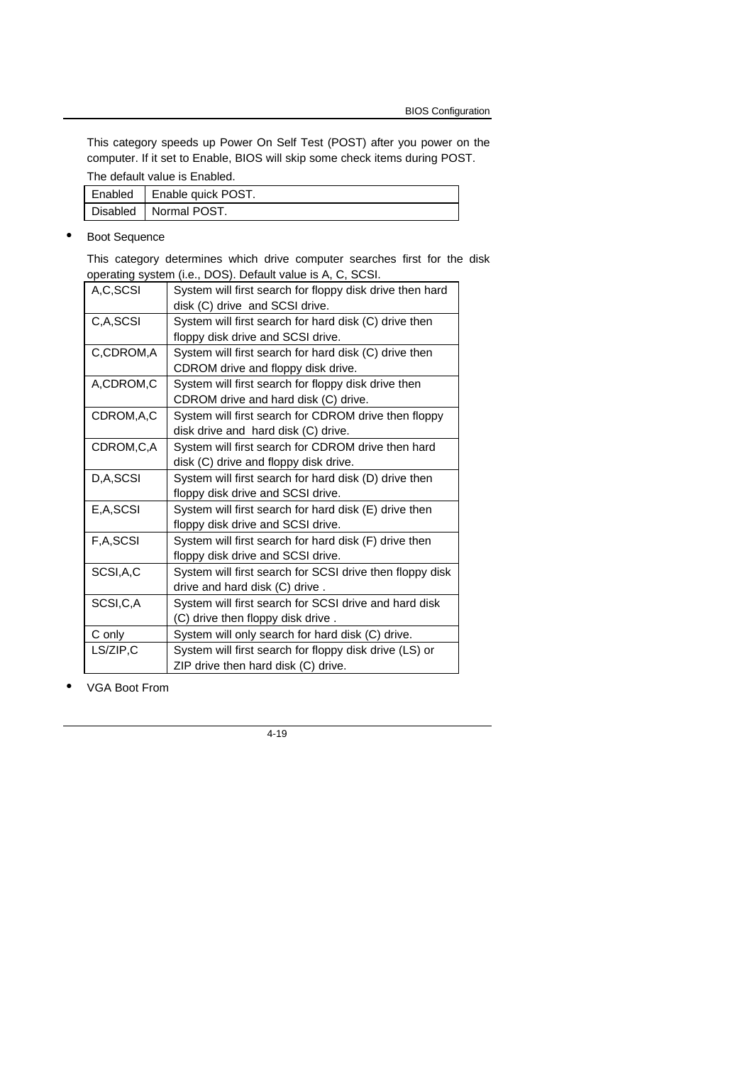This category speeds up Power On Self Test (POST) after you power on the computer. If it set to Enable, BIOS will skip some check items during POST.

| The default value is Enabled. |                              |
|-------------------------------|------------------------------|
|                               | Enabled   Enable quick POST. |
|                               | l Disabled I Normal POST.    |

## • Boot Sequence

This category determines which drive computer searches first for the disk operating system (i.e., DOS). Default value is A, C, SCSI.

| A,C,SCSI    | System will first search for floppy disk drive then hard<br>disk (C) drive and SCSI drive.    |
|-------------|-----------------------------------------------------------------------------------------------|
| C,A,SCSI    | System will first search for hard disk (C) drive then<br>floppy disk drive and SCSI drive.    |
| C,CDROM,A   | System will first search for hard disk (C) drive then<br>CDROM drive and floppy disk drive.   |
| A,CDROM,C   | System will first search for floppy disk drive then<br>CDROM drive and hard disk (C) drive.   |
| CDROM, A, C | System will first search for CDROM drive then floppy<br>disk drive and hard disk (C) drive.   |
| CDROM,C,A   | System will first search for CDROM drive then hard<br>disk (C) drive and floppy disk drive.   |
| D,A,SCSI    | System will first search for hard disk (D) drive then<br>floppy disk drive and SCSI drive.    |
| E,A,SCSI    | System will first search for hard disk (E) drive then<br>floppy disk drive and SCSI drive.    |
| F,A,SCSI    | System will first search for hard disk (F) drive then<br>floppy disk drive and SCSI drive.    |
| SCSI, A, C  | System will first search for SCSI drive then floppy disk<br>drive and hard disk (C) drive.    |
| SCSI,C,A    | System will first search for SCSI drive and hard disk<br>(C) drive then floppy disk drive.    |
| C only      | System will only search for hard disk (C) drive.                                              |
| LS/ZIP,C    | System will first search for floppy disk drive (LS) or<br>ZIP drive then hard disk (C) drive. |

• VGA Boot From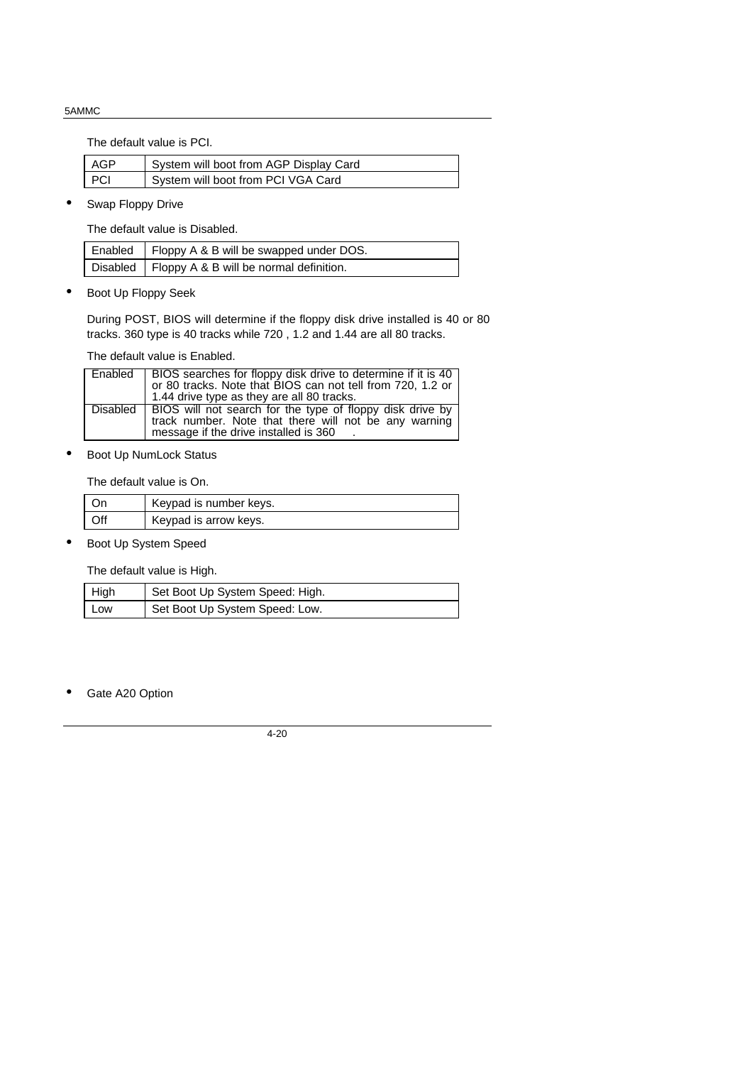The default value is PCI.

| AGP   | System will boot from AGP Display Card |
|-------|----------------------------------------|
| - PCI | System will boot from PCI VGA Card     |

• Swap Floppy Drive

The default value is Disabled.

| Enabled   Floppy A & B will be swapped under DOS.  |
|----------------------------------------------------|
| Disabled   Floppy A & B will be normal definition. |

• Boot Up Floppy Seek

During POST, BIOS will determine if the floppy disk drive installed is 40 or 80 tracks. 360 type is 40 tracks while 720 , 1.2 and 1.44 are all 80 tracks.

The default value is Enabled.

| Enabled   BIOS searches for floppy disk drive to determine if it is 40<br>or 80 tracks. Note that BIOS can not tell from 720, 1.2 or<br>1.44 drive type as they are all 80 tracks. |
|------------------------------------------------------------------------------------------------------------------------------------------------------------------------------------|
| Disabled   BIOS will not search for the type of floppy disk drive by<br>track number. Note that there will not be any warning<br>message if the drive installed is 360             |

Boot Up NumLock Status

The default value is On.

| Οr  | Keypad is number keys. |
|-----|------------------------|
| Off | Keypad is arrow keys.  |

Boot Up System Speed

The default value is High.

| High | Set Boot Up System Speed: High. |
|------|---------------------------------|
| Low  | Set Boot Up System Speed: Low.  |

Gate A20 Option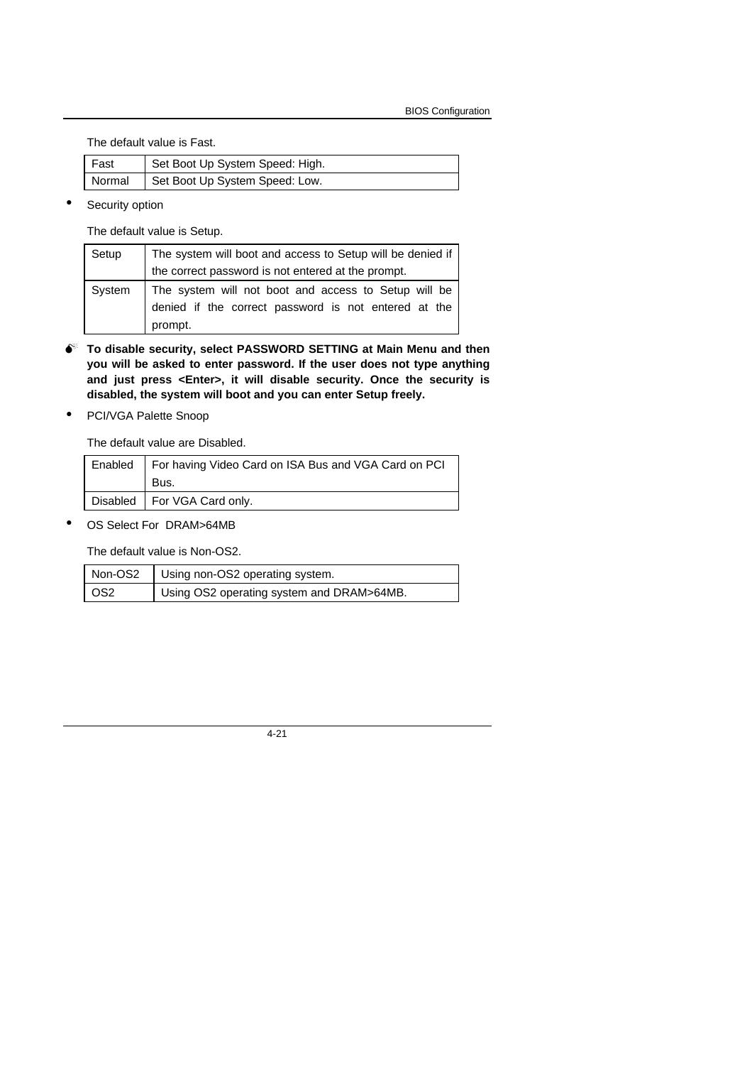The default value is Fast.

| Fast   | Set Boot Up System Speed: High. |
|--------|---------------------------------|
| Normal | Set Boot Up System Speed: Low.  |

Security option

The default value is Setup.

| Setup  | The system will boot and access to Setup will be denied if |
|--------|------------------------------------------------------------|
|        | the correct password is not entered at the prompt.         |
| System | The system will not boot and access to Setup will be       |
|        | denied if the correct password is not entered at the       |
|        | prompt.                                                    |

- $\bullet^*$  To disable security, select PASSWORD SETTING at Main Menu and then **you will be asked to enter password. If the user does not type anything and just press <Enter>, it will disable security. Once the security is disabled, the system will boot and you can enter Setup freely.**
- PCI/VGA Palette Snoop

The default value are Disabled.

|  | Enabled   For having Video Card on ISA Bus and VGA Card on PCI |
|--|----------------------------------------------------------------|
|  | Bus.                                                           |
|  | Disabled   For VGA Card only.                                  |

• OS Select For DRAM>64MB

The default value is Non-OS2.

| Non-OS2 | Using non-OS2 operating system.           |
|---------|-------------------------------------------|
| OS2     | Using OS2 operating system and DRAM>64MB. |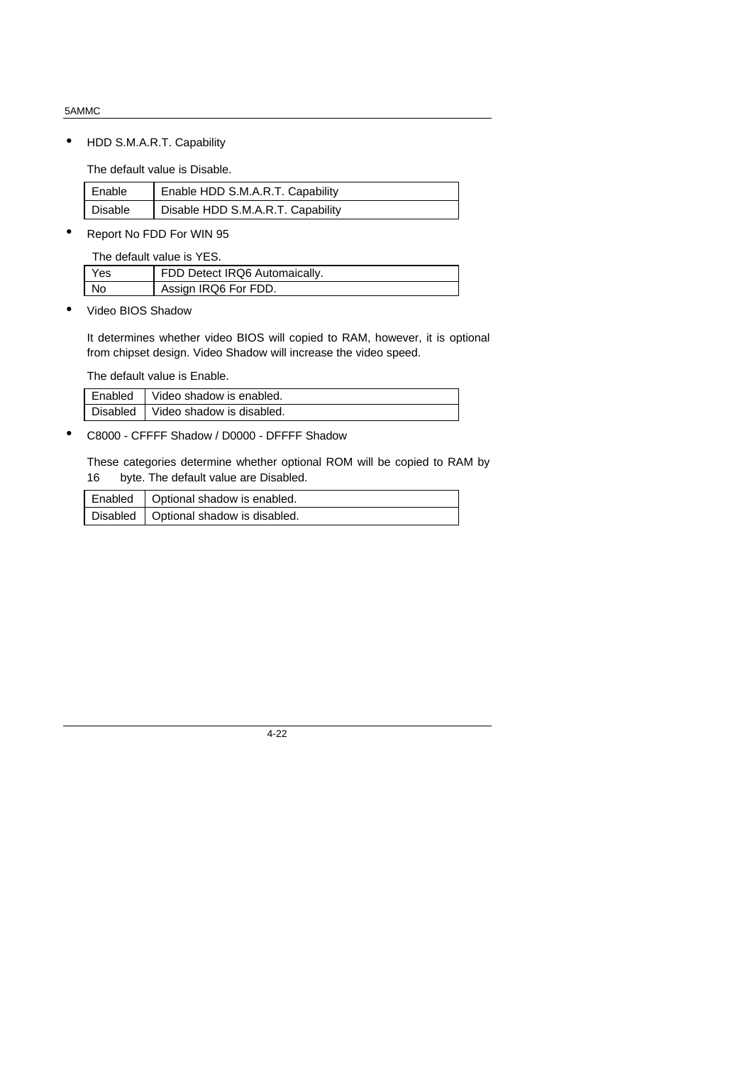• HDD S.M.A.R.T. Capability

The default value is Disable.

| Enable  | Enable HDD S.M.A.R.T. Capability  |
|---------|-----------------------------------|
| Disable | Disable HDD S.M.A.R.T. Capability |

• Report No FDD For WIN 95

The default value is YES.

| Yes | FDD Detect IRQ6 Automaically. |
|-----|-------------------------------|
| No  | Assign IRQ6 For FDD.          |

• Video BIOS Shadow

It determines whether video BIOS will copied to RAM, however, it is optional from chipset design. Video Shadow will increase the video speed.

The default value is Enable.

| LEnabled LVideo shadow is enabled.   |
|--------------------------------------|
| Disabled I Video shadow is disabled. |

• C8000 - CFFFF Shadow / D0000 - DFFFF Shadow

These categories determine whether optional ROM will be copied to RAM by 16 byte. The default value are Disabled.

| Enabled   Optional shadow is enabled.   |
|-----------------------------------------|
| Disabled   Optional shadow is disabled. |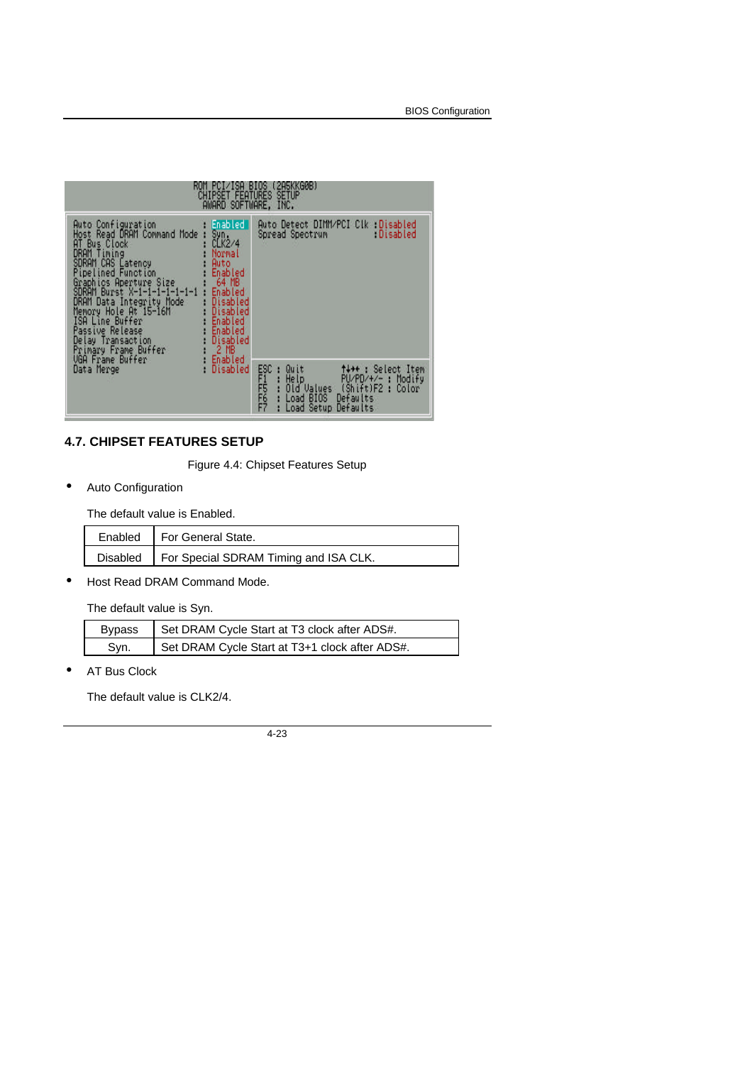

## **4.7. CHIPSET FEATURES SETUP**

Figure 4.4: Chipset Features Setup

Auto Configuration

The default value is Enabled.

| Enabled   For General State.                     |
|--------------------------------------------------|
| Disabled   For Special SDRAM Timing and ISA CLK. |

• Host Read DRAM Command Mode.

The default value is Syn.

| <b>Bypass</b> | Set DRAM Cycle Start at T3 clock after ADS#.   |
|---------------|------------------------------------------------|
| Svn.          | Set DRAM Cycle Start at T3+1 clock after ADS#. |

**AT Bus Clock** 

The default value is CLK2/4.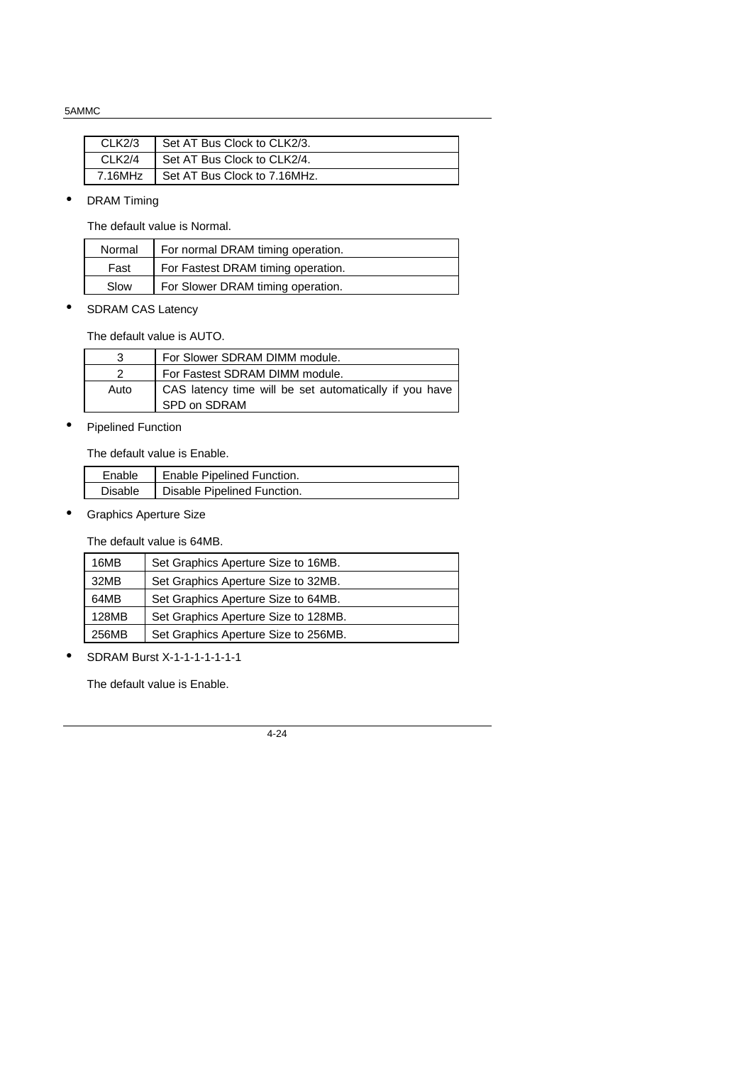| CLK2/3             | Set AT Bus Clock to CLK2/3.  |
|--------------------|------------------------------|
| CLK <sub>2/4</sub> | Set AT Bus Clock to CLK2/4.  |
| 7.16MHz            | Set AT Bus Clock to 7.16MHz. |

• DRAM Timing

The default value is Normal.

| Normal | For normal DRAM timing operation.  |
|--------|------------------------------------|
| Fast   | For Fastest DRAM timing operation. |
| Slow   | For Slower DRAM timing operation.  |

• SDRAM CAS Latency

The default value is AUTO.

| 3    | For Slower SDRAM DIMM module.                                          |
|------|------------------------------------------------------------------------|
|      | For Fastest SDRAM DIMM module.                                         |
| Auto | CAS latency time will be set automatically if you have<br>SPD on SDRAM |

• Pipelined Function

The default value is Enable.

| Enable         | Enable Pipelined Function.  |
|----------------|-----------------------------|
| <b>Disable</b> | Disable Pipelined Function. |

• Graphics Aperture Size

The default value is 64MB.

| 16MB  | Set Graphics Aperture Size to 16MB.  |
|-------|--------------------------------------|
| 32MB  | Set Graphics Aperture Size to 32MB.  |
| 64MB  | Set Graphics Aperture Size to 64MB.  |
| 128MB | Set Graphics Aperture Size to 128MB. |
| 256MB | Set Graphics Aperture Size to 256MB. |

• SDRAM Burst X-1-1-1-1-1-1-1

The default value is Enable.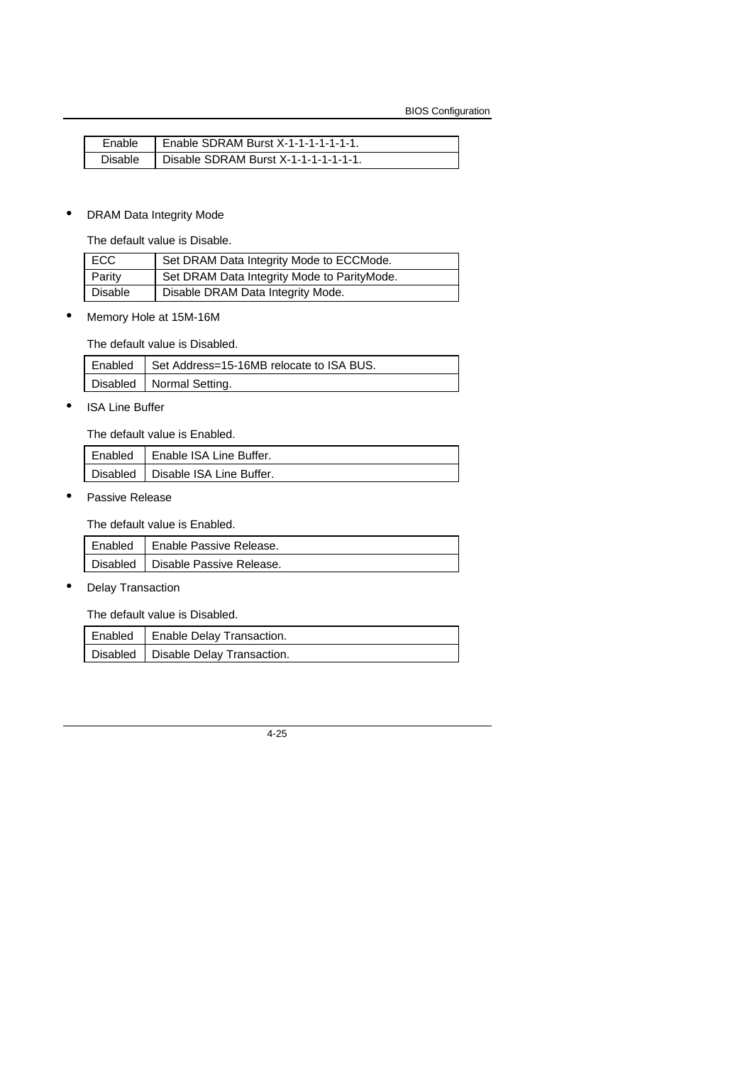BIOS Configuration

| Fnable         | Enable SDRAM Burst X-1-1-1-1-1-1-1.  |
|----------------|--------------------------------------|
| <b>Disable</b> | Disable SDRAM Burst X-1-1-1-1-1-1-1. |

## • DRAM Data Integrity Mode

The default value is Disable.

| <b>ECC</b>     | Set DRAM Data Integrity Mode to ECCMode.    |
|----------------|---------------------------------------------|
| Parity         | Set DRAM Data Integrity Mode to ParityMode. |
| <b>Disable</b> | Disable DRAM Data Integrity Mode.           |

• Memory Hole at 15M-16M

The default value is Disabled.

| Enabled   Set Address=15-16MB relocate to ISA BUS. |
|----------------------------------------------------|
| Disabled   Normal Setting.                         |

• ISA Line Buffer

The default value is Enabled.

| Enabled I | Enable ISA Line Buffer.             |
|-----------|-------------------------------------|
|           | Disabled   Disable ISA Line Buffer. |

Passive Release

The default value is Enabled.

| Enabled   Enable Passive Release.   |
|-------------------------------------|
| Disabled   Disable Passive Release. |

• Delay Transaction

The default value is Disabled.

| Enabled   Enable Delay Transaction.   |  |
|---------------------------------------|--|
| Disabled   Disable Delay Transaction. |  |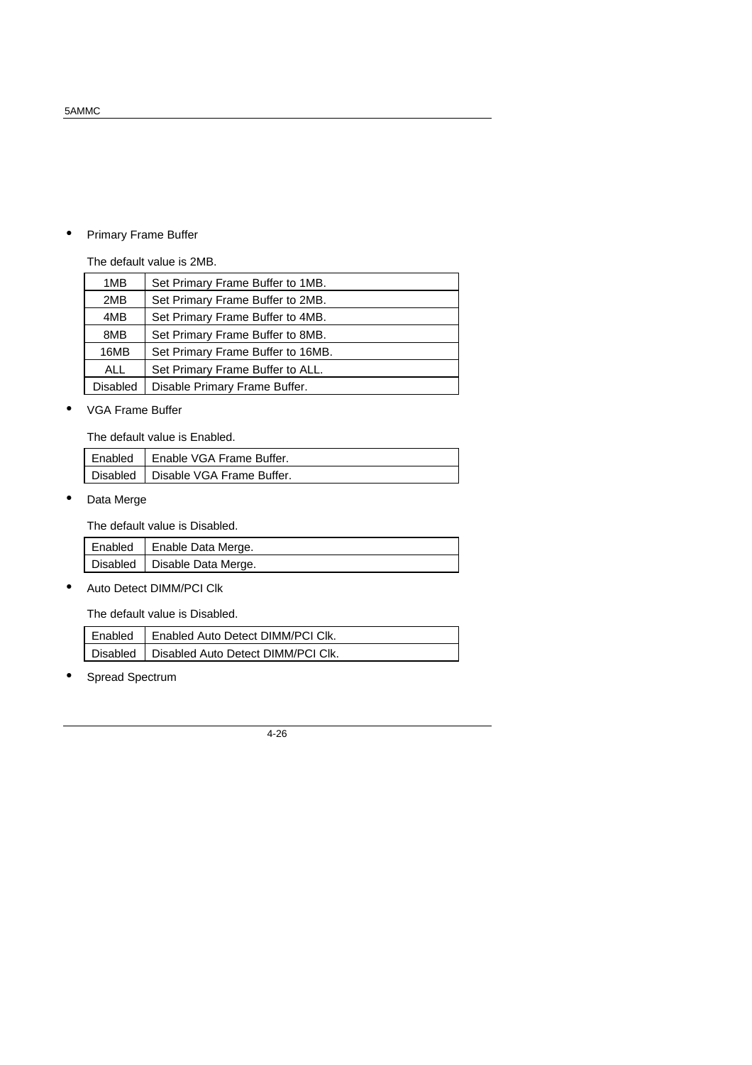# • Primary Frame Buffer

The default value is 2MB.

| 1MB             | Set Primary Frame Buffer to 1MB.  |
|-----------------|-----------------------------------|
| 2MB             | Set Primary Frame Buffer to 2MB.  |
| 4MB             | Set Primary Frame Buffer to 4MB.  |
| 8MB             | Set Primary Frame Buffer to 8MB.  |
| 16MB            | Set Primary Frame Buffer to 16MB. |
| <b>ALL</b>      | Set Primary Frame Buffer to ALL.  |
| <b>Disabled</b> | Disable Primary Frame Buffer.     |

• VGA Frame Buffer

The default value is Enabled.

| Enabled | Enable VGA Frame Buffer.             |
|---------|--------------------------------------|
|         | Disabled   Disable VGA Frame Buffer. |

• Data Merge

The default value is Disabled.

| Enabled | Enable Data Merge.             |
|---------|--------------------------------|
|         | Disabled   Disable Data Merge. |

• Auto Detect DIMM/PCI Clk

The default value is Disabled.

| Enabled   Enabled Auto Detect DIMM/PCI Clk.   |
|-----------------------------------------------|
| Disabled   Disabled Auto Detect DIMM/PCI Clk. |

• Spread Spectrum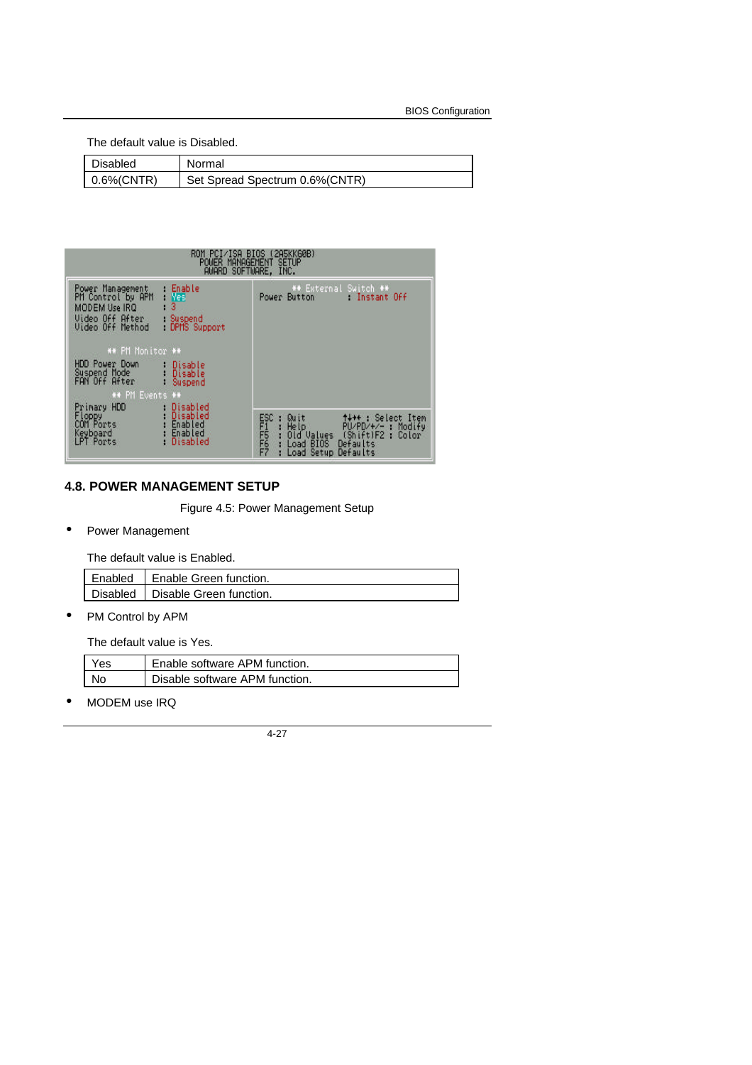The default value is Disabled.

| Disabled          | Normal                         |
|-------------------|--------------------------------|
| $\mid$ 0.6%(CNTR) | Set Spread Spectrum 0.6%(CNTR) |

| ROM PCI/ISA BIOS                                                                                                                                                     | (285KKG0B)<br>POWER MANAGEMENT SETUP<br>AWARD SOFTWARE, INC.                                                                                                                     |
|----------------------------------------------------------------------------------------------------------------------------------------------------------------------|----------------------------------------------------------------------------------------------------------------------------------------------------------------------------------|
| Enable<br>Power Management<br>PM Control by APM<br>: Ves<br>3<br>MODEM Use IRQ<br>Video Off After<br>Suspend<br>DPMS Support<br>Video Off Method<br>** PM Monitor ** | ** External Switch **<br>Sutton : Instant Off<br>Power Button                                                                                                                    |
| HDD Power Down<br>: Disable<br>Suspend Mode<br><b>Disable</b><br>FAN Off After<br>Suspend<br>** PM Events **                                                         |                                                                                                                                                                                  |
| Primary HDD<br>Disabled<br>Disabled<br>Floppy<br>Enabled<br>COM Ports<br>Enabled<br>Keyboard<br><b>LPT Ports</b><br>Disabled                                         | ESC<br>F15<br>F7<br>F7<br>↑↓◆◆ : Select Item<br>PU/PD/+/- : Modify<br>Quit<br>Help<br>Old Values<br>R<br>(Shift)F2 : Color<br>Defaults<br>Load BIOS<br>Load<br>Defaults<br>Setup |

# **4.8. POWER MANAGEMENT SETUP**

Figure 4.5: Power Management Setup

• Power Management

The default value is Enabled.

| Enabled   Enable Green function.   |
|------------------------------------|
| Disabled   Disable Green function. |

• PM Control by APM

The default value is Yes.

| Yes | Enable software APM function.  |
|-----|--------------------------------|
| N٥  | Disable software APM function. |

• MODEM use IRQ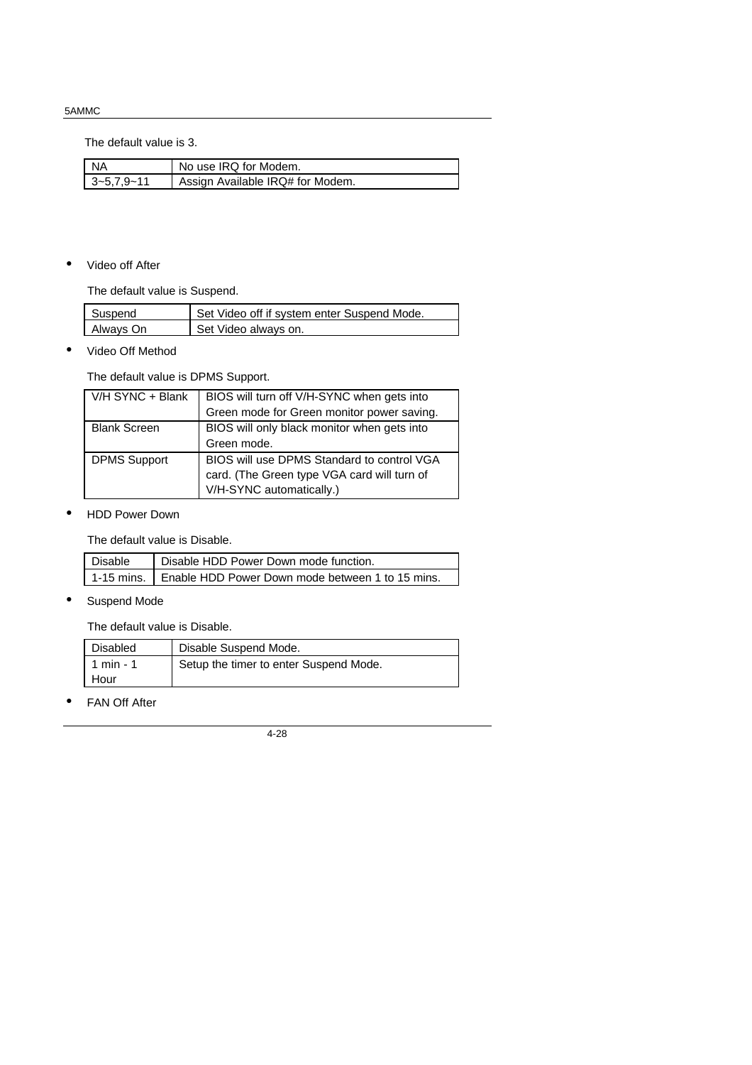The default value is 3.

| I NA       | No use IRQ for Modem.            |
|------------|----------------------------------|
| 3~5,7,9~11 | Assign Available IRQ# for Modem. |

### • Video off After

The default value is Suspend.

| Suspend   | Set Video off if system enter Suspend Mode. |
|-----------|---------------------------------------------|
| Always On | Set Video always on.                        |

• Video Off Method

The default value is DPMS Support.

| $V/H$ SYNC + Blank  | BIOS will turn off V/H-SYNC when gets into  |
|---------------------|---------------------------------------------|
|                     | Green mode for Green monitor power saving.  |
| <b>Blank Screen</b> | BIOS will only black monitor when gets into |
|                     | Green mode.                                 |
| <b>DPMS Support</b> | BIOS will use DPMS Standard to control VGA  |
|                     | card. (The Green type VGA card will turn of |
|                     | V/H-SYNC automatically.)                    |

• HDD Power Down

The default value is Disable.

| Disable | Disable HDD Power Down mode function.                         |
|---------|---------------------------------------------------------------|
|         | 1-15 mins.   Enable HDD Power Down mode between 1 to 15 mins. |

• Suspend Mode

The default value is Disable.

| Disabled    | Disable Suspend Mode.                  |
|-------------|----------------------------------------|
| $1$ min - 1 | Setup the timer to enter Suspend Mode. |
| Hour        |                                        |

• FAN Off After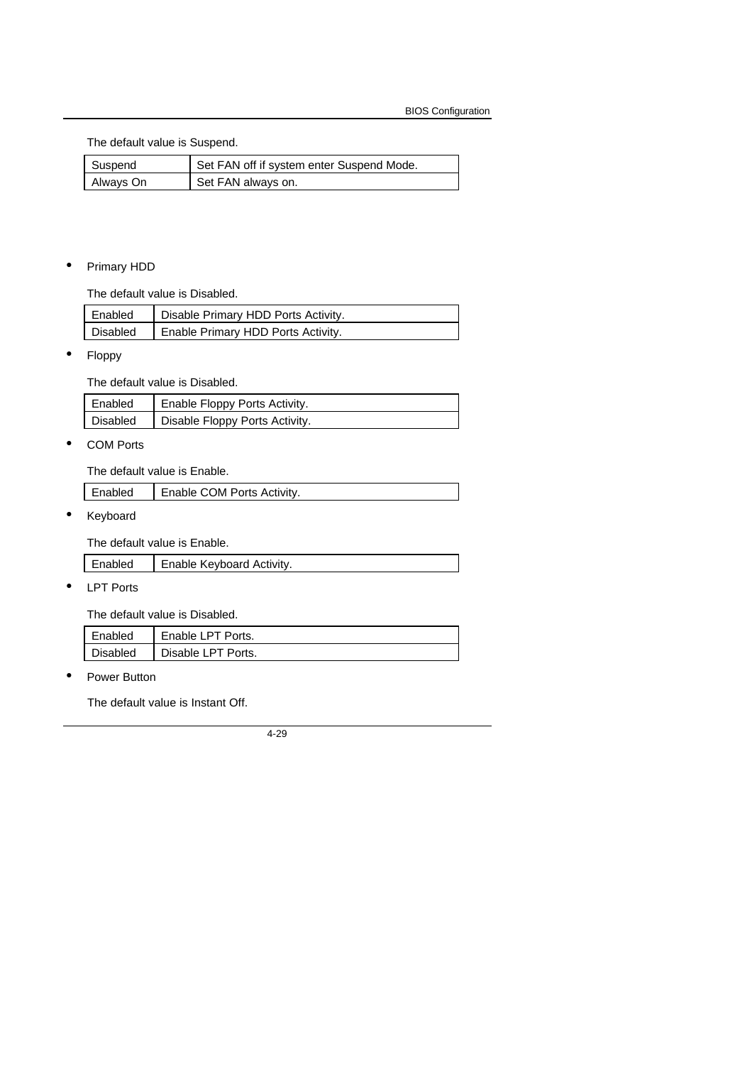The default value is Suspend.

| Suspend   | Set FAN off if system enter Suspend Mode. |
|-----------|-------------------------------------------|
| Always On | Set FAN always on.                        |

# • Primary HDD

The default value is Disabled.

| Enabled  | Disable Primary HDD Ports Activity. |
|----------|-------------------------------------|
| Disabled | Enable Primary HDD Ports Activity.  |

• Floppy

The default value is Disabled.

| Enabled    | Enable Floppy Ports Activity.  |
|------------|--------------------------------|
| l Disabled | Disable Floppy Ports Activity. |

COM Ports

The default value is Enable.

| Enabled<br>Enable COM Ports Activity. |
|---------------------------------------|
|---------------------------------------|

• Keyboard

The default value is Enable.

| Enable Keyboard Activity.<br>⊡nabled |  |
|--------------------------------------|--|
|                                      |  |

• LPT Ports

The default value is Disabled.

| Enabled         | Enable LPT Ports.  |
|-----------------|--------------------|
| <b>Disabled</b> | Disable LPT Ports. |

• Power Button

The default value is Instant Off.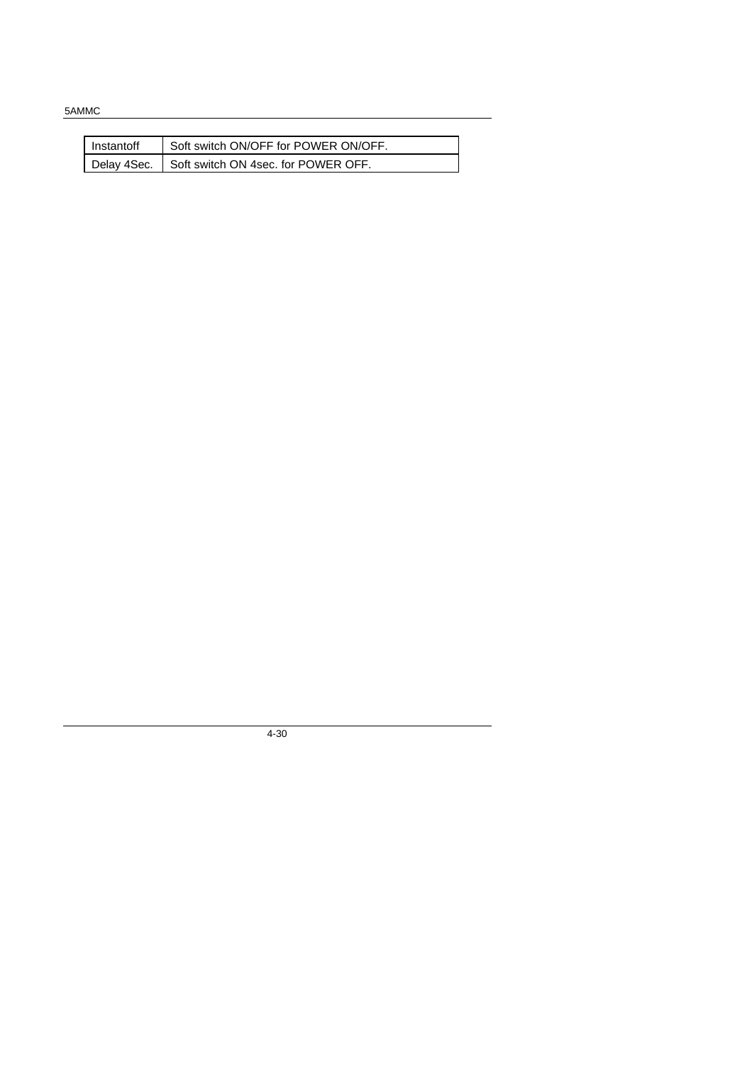| Instantoff | Soft switch ON/OFF for POWER ON/OFF.              |
|------------|---------------------------------------------------|
|            | Delay 4Sec.   Soft switch ON 4sec. for POWER OFF. |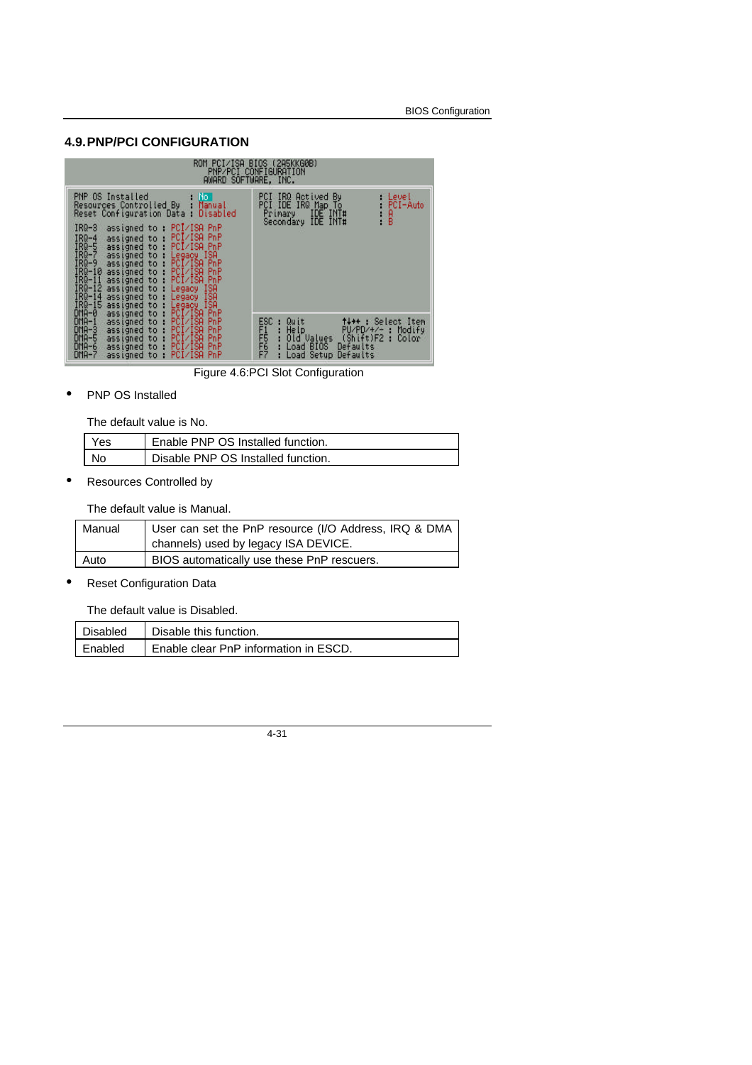## **4.9.PNP/PCI CONFIGURATION**



Figure 4.6:PCI Slot Configuration

• PNP OS Installed

The default value is No.

| l Yes | Enable PNP OS Installed function.  |
|-------|------------------------------------|
| No    | Disable PNP OS Installed function. |

Resources Controlled by

The default value is Manual.

| Manual | User can set the PnP resource (I/O Address, IRQ & DMA |  |
|--------|-------------------------------------------------------|--|
|        | channels) used by legacy ISA DEVICE.                  |  |
| Auto   | BIOS automatically use these PnP rescuers.            |  |

**Reset Configuration Data** 

The default value is Disabled.

| Disabled | Disable this function.                |
|----------|---------------------------------------|
| Enabled  | Enable clear PnP information in ESCD. |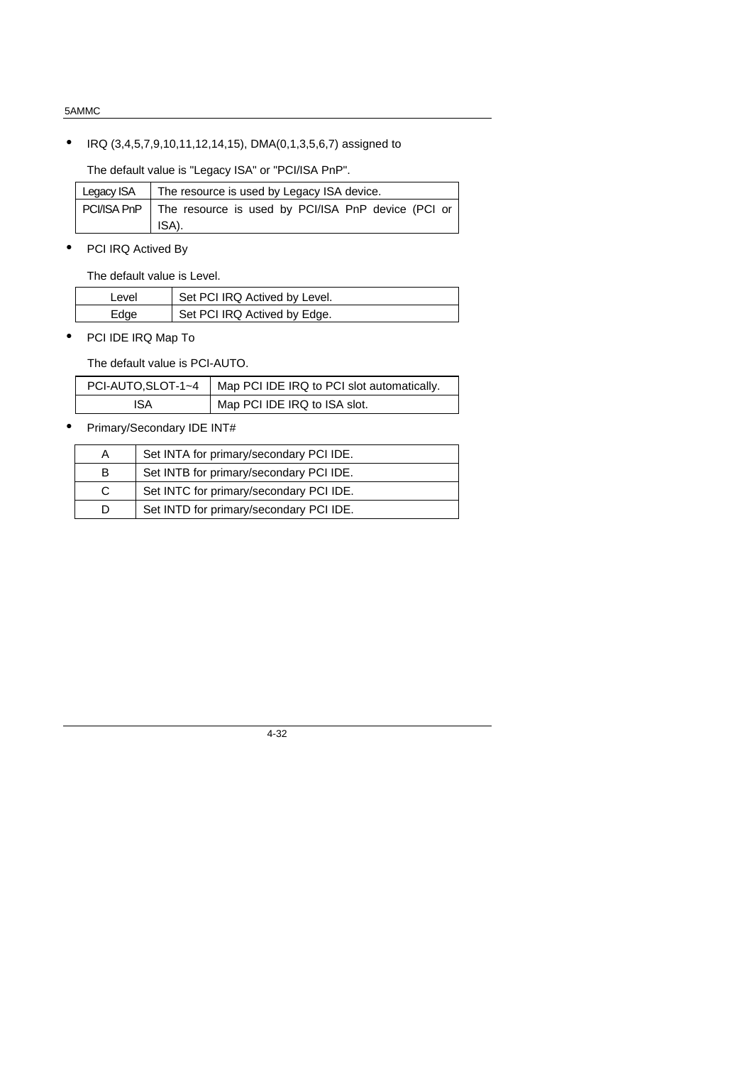• IRQ (3,4,5,7,9,10,11,12,14,15), DMA(0,1,3,5,6,7) assigned to

The default value is "Legacy ISA" or "PCI/ISA PnP".

| Legacy ISA | The resource is used by Legacy ISA device.                                |
|------------|---------------------------------------------------------------------------|
|            | PCI/ISA PnP   The resource is used by PCI/ISA PnP device (PCI or<br>ISA). |

• PCI IRQ Actived By

The default value is Level.

| l evel | Set PCI IRQ Actived by Level. |
|--------|-------------------------------|
| Edge   | Set PCI IRQ Actived by Edge.  |

• PCI IDE IRQ Map To

The default value is PCI-AUTO.

|     | PCI-AUTO, SLOT-1~4   Map PCI IDE IRQ to PCI slot automatically. |
|-----|-----------------------------------------------------------------|
| ISA | Map PCI IDE IRQ to ISA slot.                                    |

• Primary/Secondary IDE INT#

| A | Set INTA for primary/secondary PCI IDE. |
|---|-----------------------------------------|
| B | Set INTB for primary/secondary PCI IDE. |
| C | Set INTC for primary/secondary PCI IDE. |
| Ð | Set INTD for primary/secondary PCI IDE. |
|   |                                         |

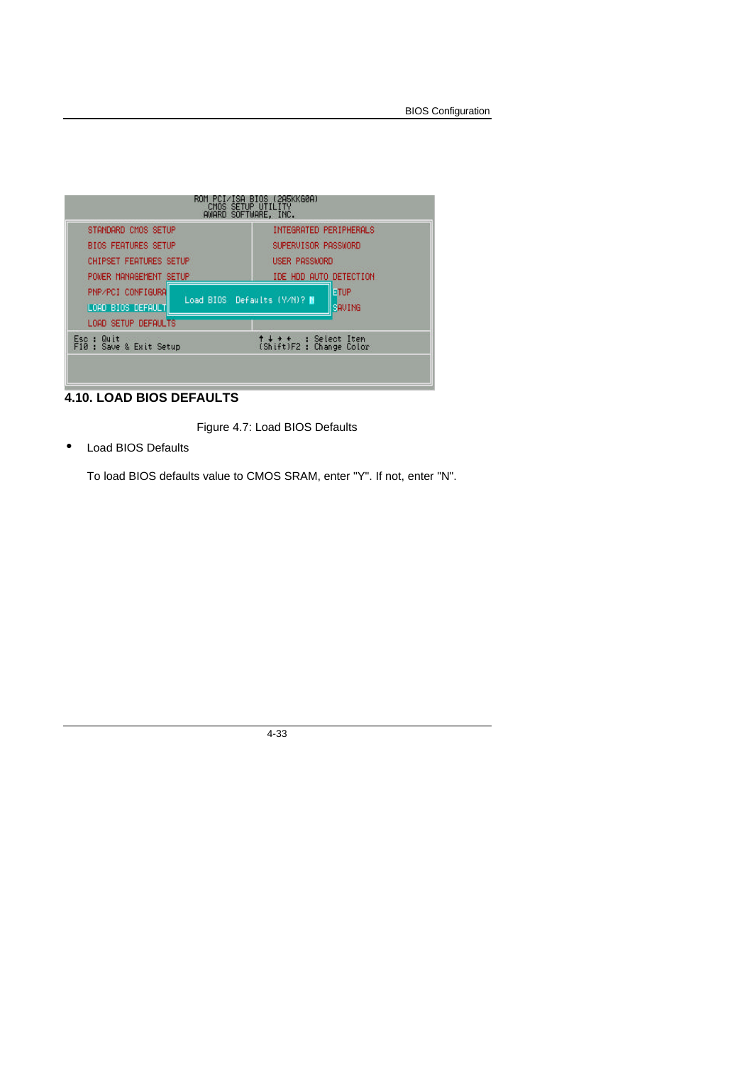BIOS Configuration

| STANDARD CMOS SETUP                    | INTEGRATED PERIPHERALS                                      |
|----------------------------------------|-------------------------------------------------------------|
| <b>BIOS FEATURES SETUP</b>             | SUPERVISOR PASSWORD                                         |
| <b>CHIPSET FEATURES SETUP</b>          | USER PASSWORD                                               |
| POWER MANAGEMENT SETUP                 | IDE HDD AUTO DETECTION                                      |
| PNP/PCI CONFIGURA<br>LOAD BIOS DEFAULT | <b>ETUP</b><br>Load BIOS Defaults (Y/N)? N<br><b>BAUING</b> |
| LOAD SETUP DEFAULTS                    |                                                             |
| Esc : Quit<br>F10 : Save & Exit Setup  | ↑↓ ↑ ↑<br>(Shift)F2 : Change Color                          |

# **4.10. LOAD BIOS DEFAULTS**

Figure 4.7: Load BIOS Defaults

• Load BIOS Defaults

To load BIOS defaults value to CMOS SRAM, enter "Y". If not, enter "N".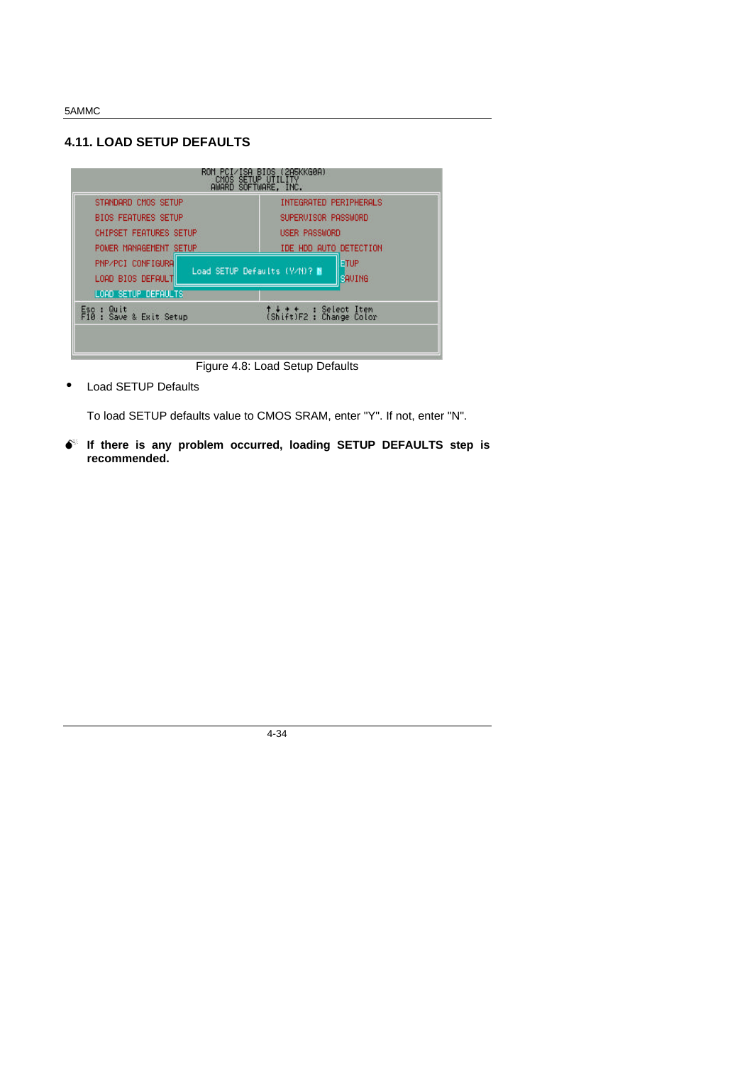## **4.11. LOAD SETUP DEFAULTS**



Figure 4.8: Load Setup Defaults

• Load SETUP Defaults

To load SETUP defaults value to CMOS SRAM, enter "Y". If not, enter "N".

 $\bullet$ <sup>®</sup> If there is any problem occurred, loading SETUP DEFAULTS step is **recommended.**

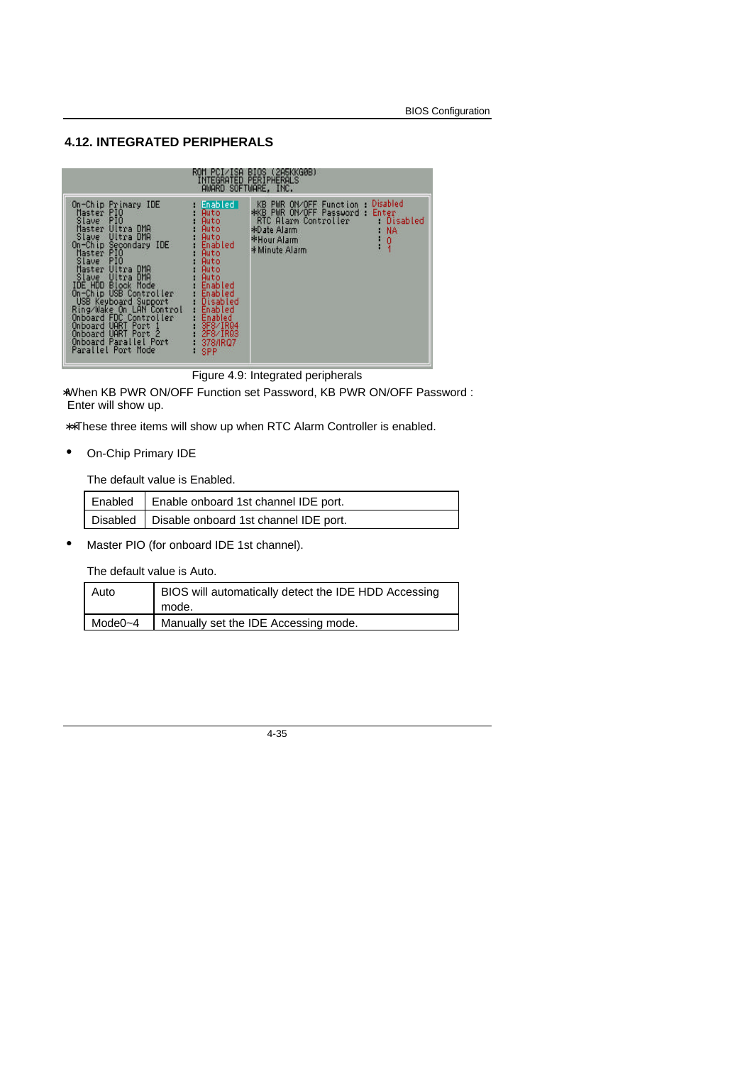# **4.12. INTEGRATED PERIPHERALS**

| BIOS (ZASKKG0B)<br>ROM PCI/ISH<br>INTEGRATED PERIPHERALS<br>AWARD SOFTWARE, INC. |                                                                                                                                                                                                                                                                                                                                                                                                                            |                                                                                                                                                                                                               |                                                                                                                                    |                                                        |
|----------------------------------------------------------------------------------|----------------------------------------------------------------------------------------------------------------------------------------------------------------------------------------------------------------------------------------------------------------------------------------------------------------------------------------------------------------------------------------------------------------------------|---------------------------------------------------------------------------------------------------------------------------------------------------------------------------------------------------------------|------------------------------------------------------------------------------------------------------------------------------------|--------------------------------------------------------|
|                                                                                  | On-Chip Primary IDE<br>Master PIO<br>Slave PIO<br>Master Ultra DMA<br>Slave Ultra DMA<br>On-Chip Secondary IDE<br>Master PIO<br>Slave PIO<br>Master Ultra DMA<br>Slave Ultra DMA<br><b>IDE HDD Block Mode</b><br>On-Chip USB Controller<br><b>USB Keyboard Support<br/>Ring/Wake On LAN Control</b><br>Onboard FOC Controller<br>Onboard UART Port 1<br>Onboard UART Port 2<br>Onboard Parallel Port<br>Parallel Port Mode | ∥Enabled I<br>Auto<br><b>Auto</b><br><b>Auto</b><br>Auto<br>Enabled<br>Auto<br>Auto<br>Auto<br>Auto<br>Enabled<br>Enabled<br>Disabled<br>Enabled<br>Enabled<br>3F8/IR04<br>2F8/IR03<br>378/IRQ7<br><b>SPP</b> | KB<br>ON/OFF Function:<br>PWR<br>*KB PWR ON/OFF Password :<br>RTC Alarm Controller<br>*Date Alarm<br>*Hour Alarm<br>* Minute Alarm | Disabled<br>Enter<br><b>Disabled</b><br><b>NA</b><br>å |

Figure 4.9: Integrated peripherals

∗When KB PWR ON/OFF Function set Password, KB PWR ON/OFF Password : Enter will show up.

∗∗These three items will show up when RTC Alarm Controller is enabled.

• On-Chip Primary IDE

The default value is Enabled.

| Enabled   Enable onboard 1st channel IDE port.   |
|--------------------------------------------------|
| Disabled   Disable onboard 1st channel IDE port. |

• Master PIO (for onboard IDE 1st channel).

The default value is Auto.

| Auto    | BIOS will automatically detect the IDE HDD Accessing<br>mode. |
|---------|---------------------------------------------------------------|
| Mode0~4 | Manually set the IDE Accessing mode.                          |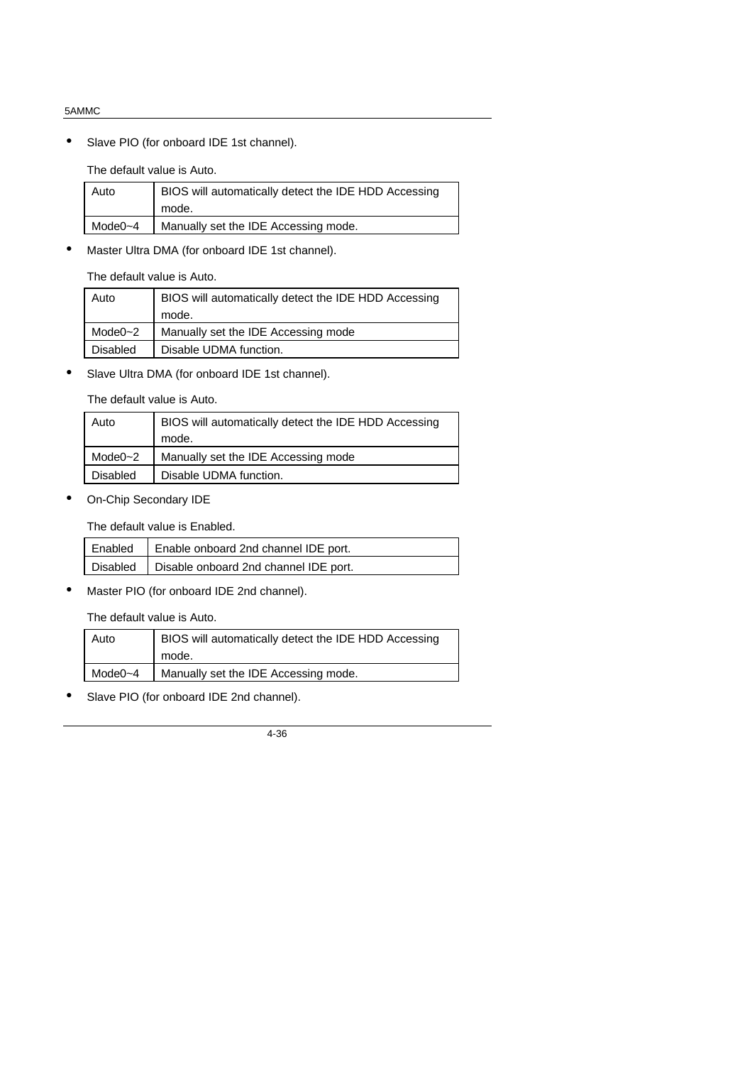• Slave PIO (for onboard IDE 1st channel).

The default value is Auto.

| Auto         | BIOS will automatically detect the IDE HDD Accessing |
|--------------|------------------------------------------------------|
|              | mode.                                                |
| Mode $0 - 4$ | Manually set the IDE Accessing mode.                 |
|              |                                                      |

• Master Ultra DMA (for onboard IDE 1st channel).

The default value is Auto.

| Auto            | BIOS will automatically detect the IDE HDD Accessing |
|-----------------|------------------------------------------------------|
|                 | mode.                                                |
| Mode $0 - 2$    | Manually set the IDE Accessing mode                  |
| <b>Disabled</b> | Disable UDMA function.                               |
|                 |                                                      |

• Slave Ultra DMA (for onboard IDE 1st channel).

The default value is Auto.

| Auto            | BIOS will automatically detect the IDE HDD Accessing |
|-----------------|------------------------------------------------------|
|                 | mode.                                                |
| Mode $0 - 2$    | Manually set the IDE Accessing mode                  |
| <b>Disabled</b> | Disable UDMA function.                               |
|                 |                                                      |

On-Chip Secondary IDE

The default value is Enabled.

| $F$ Enabled $\Big $ Enable onboard 2nd channel IDE port. |
|----------------------------------------------------------|
| Disabled   Disable onboard 2nd channel IDE port.         |

• Master PIO (for onboard IDE 2nd channel).

The default value is Auto.

| Auto    | BIOS will automatically detect the IDE HDD Accessing |
|---------|------------------------------------------------------|
|         | mode.                                                |
| Mode0~4 | Manually set the IDE Accessing mode.                 |

• Slave PIO (for onboard IDE 2nd channel).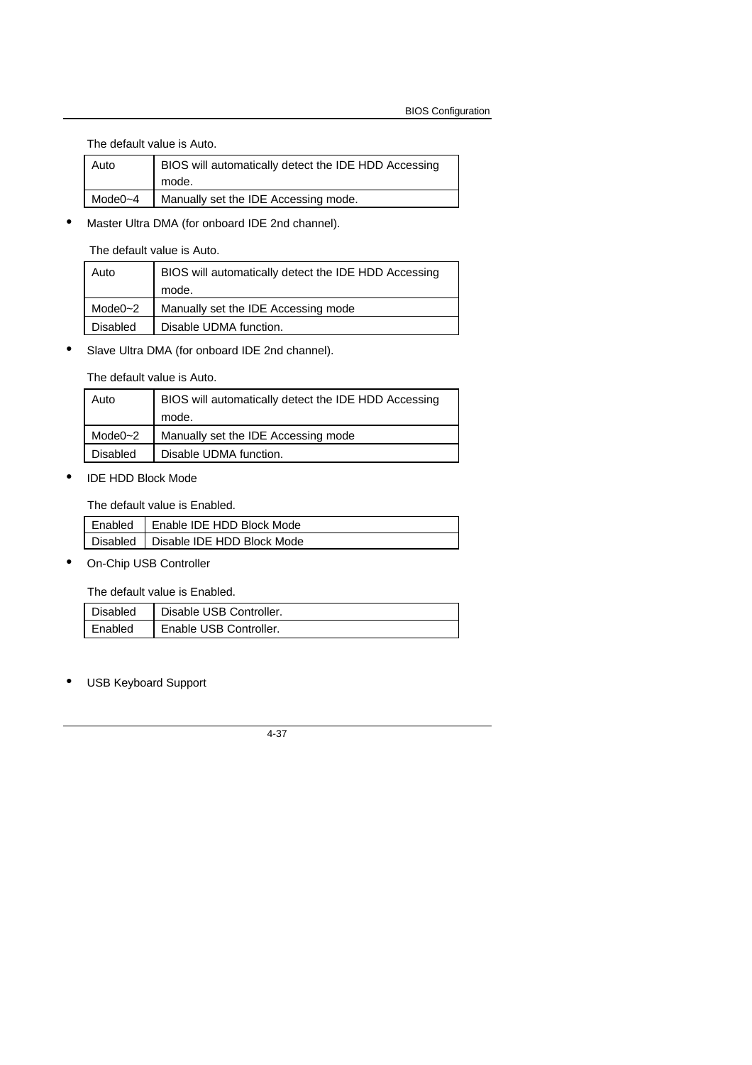The default value is Auto.

| Auto         | BIOS will automatically detect the IDE HDD Accessing |
|--------------|------------------------------------------------------|
|              | mode.                                                |
| Mode $0 - 4$ | Manually set the IDE Accessing mode.                 |
|              |                                                      |

• Master Ultra DMA (for onboard IDE 2nd channel).

The default value is Auto.

| Auto            | BIOS will automatically detect the IDE HDD Accessing |
|-----------------|------------------------------------------------------|
|                 | mode.                                                |
| Mode $0 - 2$    | Manually set the IDE Accessing mode                  |
| <b>Disabled</b> | Disable UDMA function.                               |
|                 |                                                      |

• Slave Ultra DMA (for onboard IDE 2nd channel).

The default value is Auto.

| Auto         | BIOS will automatically detect the IDE HDD Accessing |
|--------------|------------------------------------------------------|
|              | mode.                                                |
| Mode $0 - 2$ | Manually set the IDE Accessing mode                  |
| Disabled     | Disable UDMA function.                               |
|              |                                                      |

• IDE HDD Block Mode

The default value is Enabled.

| Enabled | Enable IDE HDD Block Mode             |
|---------|---------------------------------------|
|         | Disabled   Disable IDE HDD Block Mode |

• On-Chip USB Controller

The default value is Enabled.

| <b>Disabled</b> | Disable USB Controller. |
|-----------------|-------------------------|
| Enabled         | Enable USB Controller.  |

• USB Keyboard Support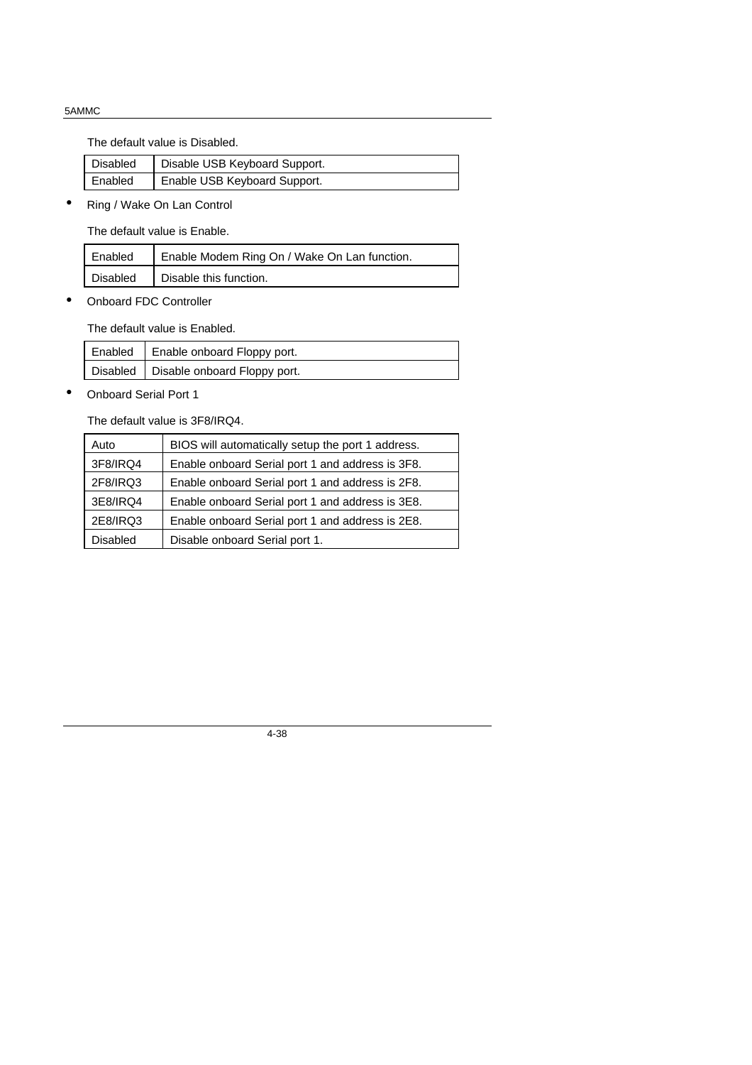The default value is Disabled.

| <b>Disabled</b> | Disable USB Keyboard Support. |
|-----------------|-------------------------------|
| Enabled         | Enable USB Keyboard Support.  |

• Ring / Wake On Lan Control

The default value is Enable.

| Enabled  | Enable Modem Ring On / Wake On Lan function. |
|----------|----------------------------------------------|
| Disabled | Disable this function.                       |

• Onboard FDC Controller

The default value is Enabled.

| Enabled   Enable onboard Floppy port.   |
|-----------------------------------------|
| Disabled   Disable onboard Floppy port. |

• Onboard Serial Port 1

The default value is 3F8/IRQ4.

| Auto            | BIOS will automatically setup the port 1 address. |
|-----------------|---------------------------------------------------|
| 3F8/IRQ4        | Enable onboard Serial port 1 and address is 3F8.  |
| 2F8/IRQ3        | Enable onboard Serial port 1 and address is 2F8.  |
| 3E8/IRQ4        | Enable onboard Serial port 1 and address is 3E8.  |
| 2E8/IRQ3        | Enable onboard Serial port 1 and address is 2E8.  |
| <b>Disabled</b> | Disable onboard Serial port 1.                    |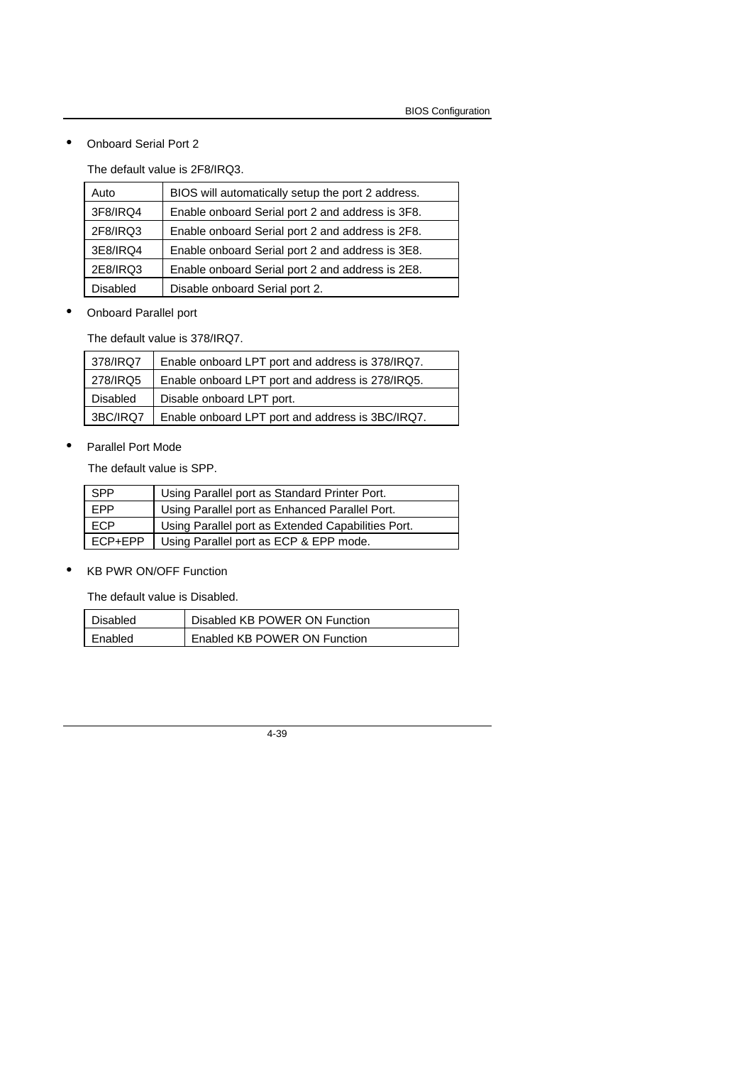• Onboard Serial Port 2

The default value is 2F8/IRQ3.

| Auto            | BIOS will automatically setup the port 2 address. |
|-----------------|---------------------------------------------------|
| 3F8/IRQ4        | Enable onboard Serial port 2 and address is 3F8.  |
| 2F8/IRQ3        | Enable onboard Serial port 2 and address is 2F8.  |
| 3E8/IRQ4        | Enable onboard Serial port 2 and address is 3E8.  |
| 2E8/IRQ3        | Enable onboard Serial port 2 and address is 2E8.  |
| <b>Disabled</b> | Disable onboard Serial port 2.                    |

• Onboard Parallel port

The default value is 378/IRQ7.

| 378/IRQ7        | Enable onboard LPT port and address is 378/IRQ7. |
|-----------------|--------------------------------------------------|
| 278/IRQ5        | Enable onboard LPT port and address is 278/IRQ5. |
| <b>Disabled</b> | Disable onboard LPT port.                        |
| 3BC/IRQ7        | Enable onboard LPT port and address is 3BC/IRQ7. |

• Parallel Port Mode

The default value is SPP.

| <b>SPP</b> | Using Parallel port as Standard Printer Port.      |
|------------|----------------------------------------------------|
| FPP        | Using Parallel port as Enhanced Parallel Port.     |
| <b>FCP</b> | Using Parallel port as Extended Capabilities Port. |
| ECP+EPP    | Using Parallel port as ECP & EPP mode.             |
|            |                                                    |

• KB PWR ON/OFF Function

The default value is Disabled.

| Disabled | Disabled KB POWER ON Function |
|----------|-------------------------------|
| Enabled  | Enabled KB POWER ON Function  |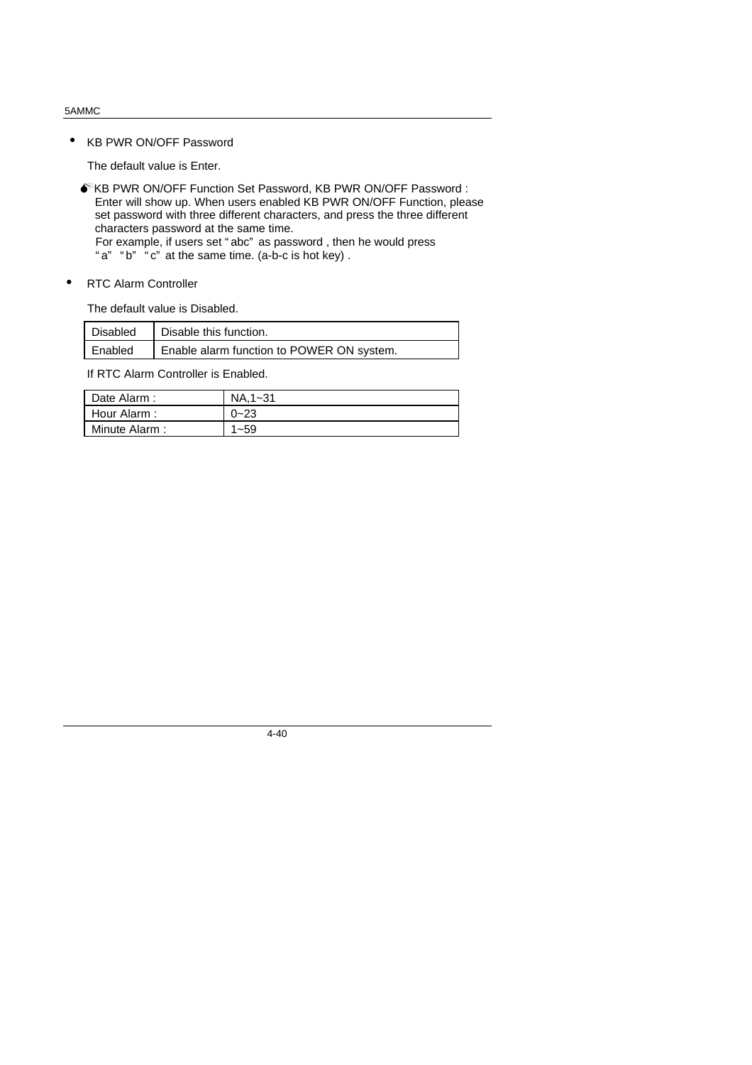• KB PWR ON/OFF Password

The default value is Enter.

- G<sup>\*</sup>KB PWR ON/OFF Function Set Password, KB PWR ON/OFF Password : Enter will show up. When users enabled KB PWR ON/OFF Function, please set password with three different characters, and press the three different characters password at the same time.
	- For example, if users set " abc" as password , then he would press
	- "a" "b" "c" at the same time. (a-b-c is hot key).
- RTC Alarm Controller

The default value is Disabled.

| Disabled | Disable this function.                    |
|----------|-------------------------------------------|
| Enabled  | Enable alarm function to POWER ON system. |

If RTC Alarm Controller is Enabled.

| Date Alarm:   | $NA.1 - 31$ |
|---------------|-------------|
| Hour Alarm:   | $0 - 23$    |
| Minute Alarm: | $1 - 59$    |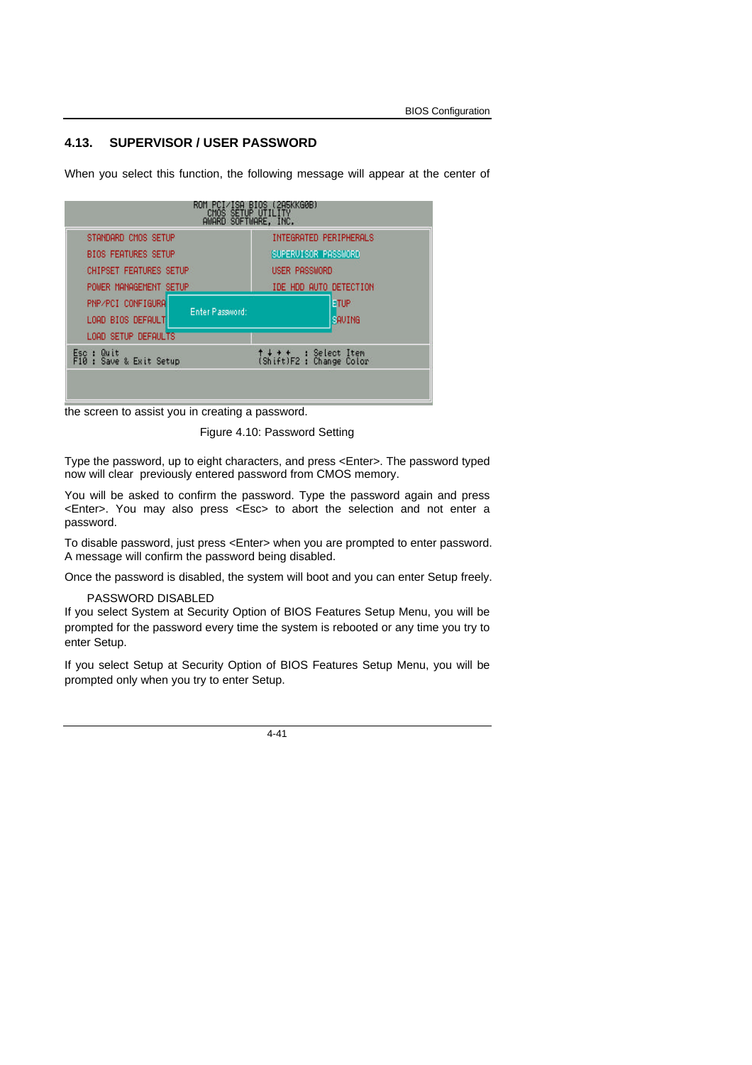# **4.13. SUPERVISOR / USER PASSWORD**

When you select this function, the following message will appear at the center of

| CMOS <sup>1</sup>                                                                | BIOS (ZASKKG0B)                                    |
|----------------------------------------------------------------------------------|----------------------------------------------------|
| AWARD SOFTWARE, INC.                                                             | <b>SETUP UTILITY</b>                               |
| STANDARD CMOS SETUP                                                              | INTEGRATED PERIPHERALS                             |
| <b>BIOS FEATURES SETUP</b>                                                       | SUPERVISOR PASSWORD                                |
| <b>CHIPSET FEATURES SETUP</b>                                                    | USER PASSWORD                                      |
| POWER MANAGEMENT SETUP                                                           | IDE HDD AUTO DETECTION                             |
| PNP/PCI CONFIGURA<br>Enter Password:<br>LOAD BIOS DEFAULT<br>LOAD SETUP DEFAULTS | <b>ETUP</b><br>SAUING                              |
| Esc : Quit<br>F10 : Save & Exit Setup                                            | ↑↓ ◆ ←   : Select Item<br>(Shift)F2 : Change Color |

the screen to assist you in creating a password.

Figure 4.10: Password Setting

Type the password, up to eight characters, and press <Enter>. The password typed now will clear previously entered password from CMOS memory.

You will be asked to confirm the password. Type the password again and press <Enter>. You may also press <Esc> to abort the selection and not enter a password.

To disable password, just press <Enter> when you are prompted to enter password. A message will confirm the password being disabled.

Once the password is disabled, the system will boot and you can enter Setup freely.

#### PASSWORD DISABLED

If you select System at Security Option of BIOS Features Setup Menu, you will be prompted for the password every time the system is rebooted or any time you try to enter Setup.

If you select Setup at Security Option of BIOS Features Setup Menu, you will be prompted only when you try to enter Setup.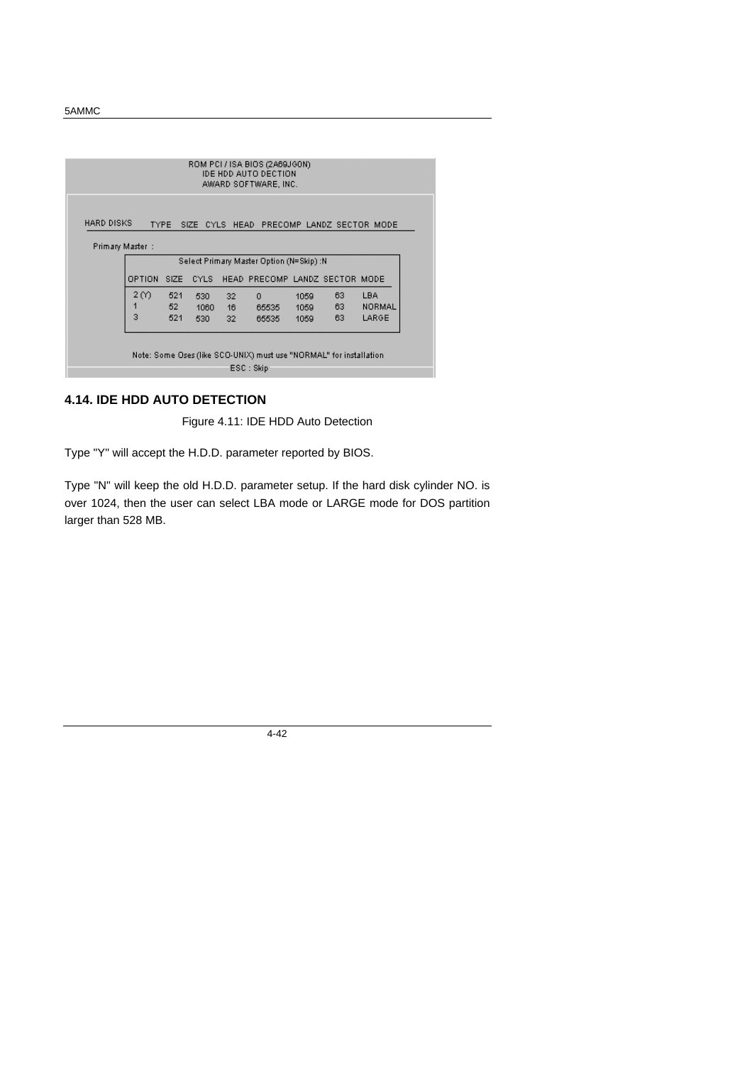|                                |             |       |       |    | ROM PCI / ISA BIOS (2A69JGON)<br><b>IDE HDD AUTO DECTION</b><br>AWARD SOFTWARE, INC. |      |    |            |
|--------------------------------|-------------|-------|-------|----|--------------------------------------------------------------------------------------|------|----|------------|
|                                |             |       |       |    |                                                                                      |      |    |            |
| HARD DISKS<br>Primary Master : | <b>TYPE</b> |       |       |    | SIZE CYLS HEAD PRECOMP LANDZ SECTOR MODE                                             |      |    |            |
|                                |             |       |       |    | Select Primary Master Option (N=Skip) :N                                             |      |    |            |
|                                | OPTION      | SIZE. | CYLS. |    | HEAD PRECOMP LANDZ SECTOR MODE                                                       |      |    |            |
|                                | 2 M         | 521   | 530   | 32 | $\Omega$                                                                             | 1059 | 63 | <b>LBA</b> |
|                                |             | 52    | 1060  | 16 | 65535                                                                                | 1059 | 63 | NORMAL     |
|                                | 3           | 521   | 530   | 32 | 65535                                                                                | 1059 | 63 | LARGE      |
|                                |             |       |       |    |                                                                                      |      |    |            |
|                                |             |       |       |    |                                                                                      |      |    |            |

# **4.14. IDE HDD AUTO DETECTION**

Figure 4.11: IDE HDD Auto Detection

Type "Y" will accept the H.D.D. parameter reported by BIOS.

Type "N" will keep the old H.D.D. parameter setup. If the hard disk cylinder NO. is over 1024, then the user can select LBA mode or LARGE mode for DOS partition larger than 528 MB.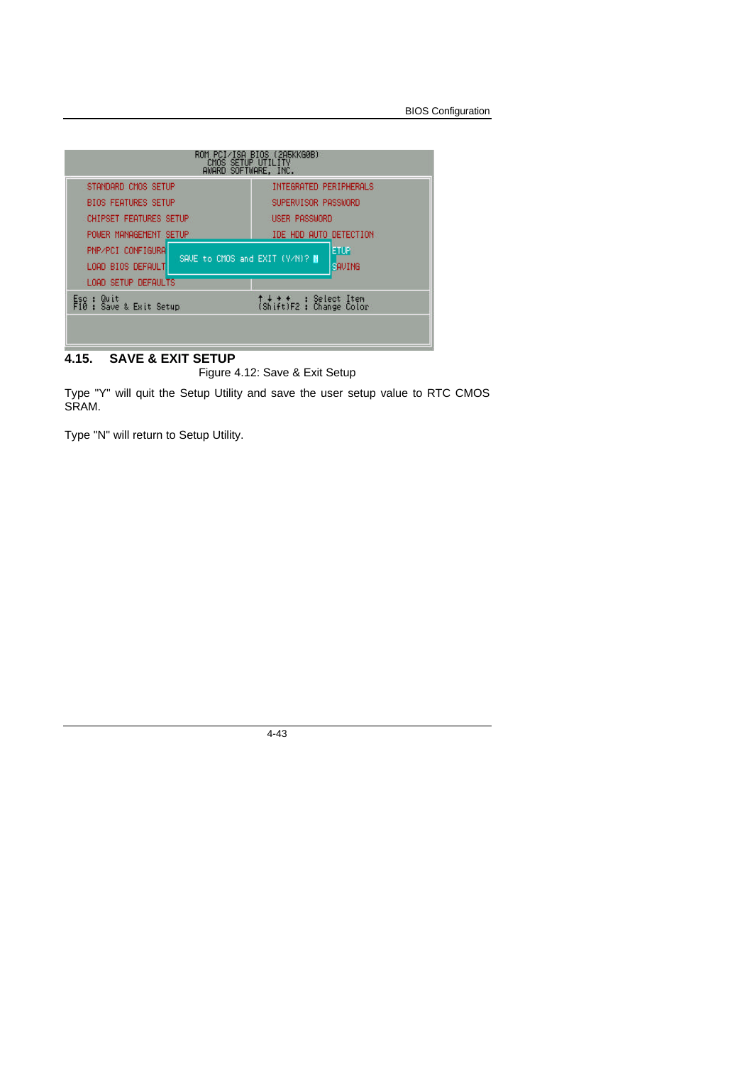BIOS Configuration

| $71$ SH                                                           | (285KKGØB)<br>BIOS.<br>CMOS SETUP UTILITY<br>AWARD SOFTWARE, INC. |  |  |
|-------------------------------------------------------------------|-------------------------------------------------------------------|--|--|
| STANDARD CMOS SETUP<br><b>BIOS FEATURES SETUP</b>                 | INTEGRATED PERIPHERALS<br>SUPERVISOR PASSWORD                     |  |  |
| <b>CHIPSET FEATURES SETUP</b><br>POWER MANAGEMENT SETUP           | USER PASSWORD<br>IDE HDD AUTO DETECTION                           |  |  |
| PNP/PCI CONFIGURA<br>LOAD BIOS DEFAULT                            | <b>ETUP</b><br>SAVE to CMOS and EXIT (Y/N)? M<br>SAUING           |  |  |
| LOAD SETUP DEFAULTS<br>Quit<br>Esc :<br>F10:<br>Save & Exit Setup | ↑↓ + +<br>(Shift)F2 : Change Color                                |  |  |
|                                                                   |                                                                   |  |  |

# **4.15. SAVE & EXIT SETUP**

Figure 4.12: Save & Exit Setup

Type "Y" will quit the Setup Utility and save the user setup value to RTC CMOS SRAM.

Type "N" will return to Setup Utility.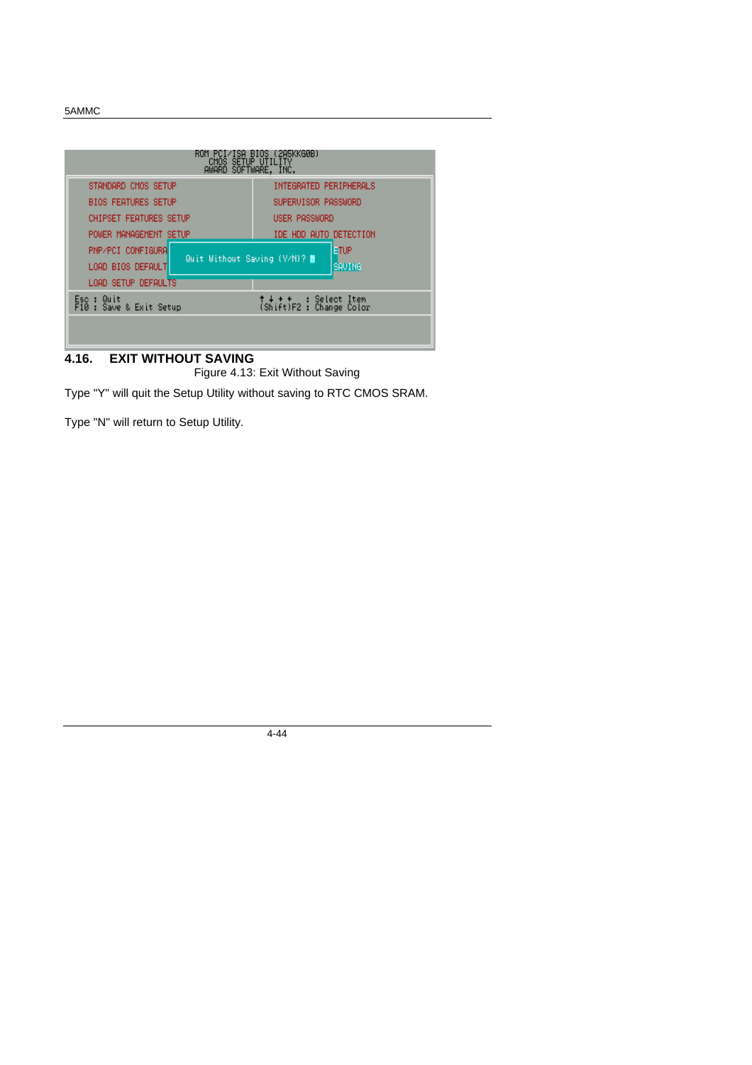| CMOS SETUP UTILITY<br>AWARD SOFTWARE, INC.                       | (ZASKKGØB)<br>RIO <sub>2</sub>                                           |  |  |
|------------------------------------------------------------------|--------------------------------------------------------------------------|--|--|
| STANDARD CMOS SETUP<br><b>BIOS FEATURES SETUP</b>                | INTEGRATED PERIPHERALS<br>SUPERVISOR PASSWORD                            |  |  |
| <b>CHIPSET FEATURES SETUP</b>                                    | USER PASSWORD                                                            |  |  |
| POWER MANAGEMENT SETUP<br>PNP/PCI CONFIGURA<br>LOAD BIOS DEFAULT | IDE HDD AUTO DETECTION<br>ETUP<br>Quit Without Saving (Y/N)? N<br>SAUTHG |  |  |
| LOAD SETUP DEFAULTS<br>Quit<br>Esc :<br>F10 : Save & Exit Setup  | ↑↓ ◆ ←<br>(Shift)F2 : Change Color                                       |  |  |

# **4.16. EXIT WITHOUT SAVING**

Figure 4.13: Exit Without Saving

Type "Y" will quit the Setup Utility without saving to RTC CMOS SRAM.

Type "N" will return to Setup Utility.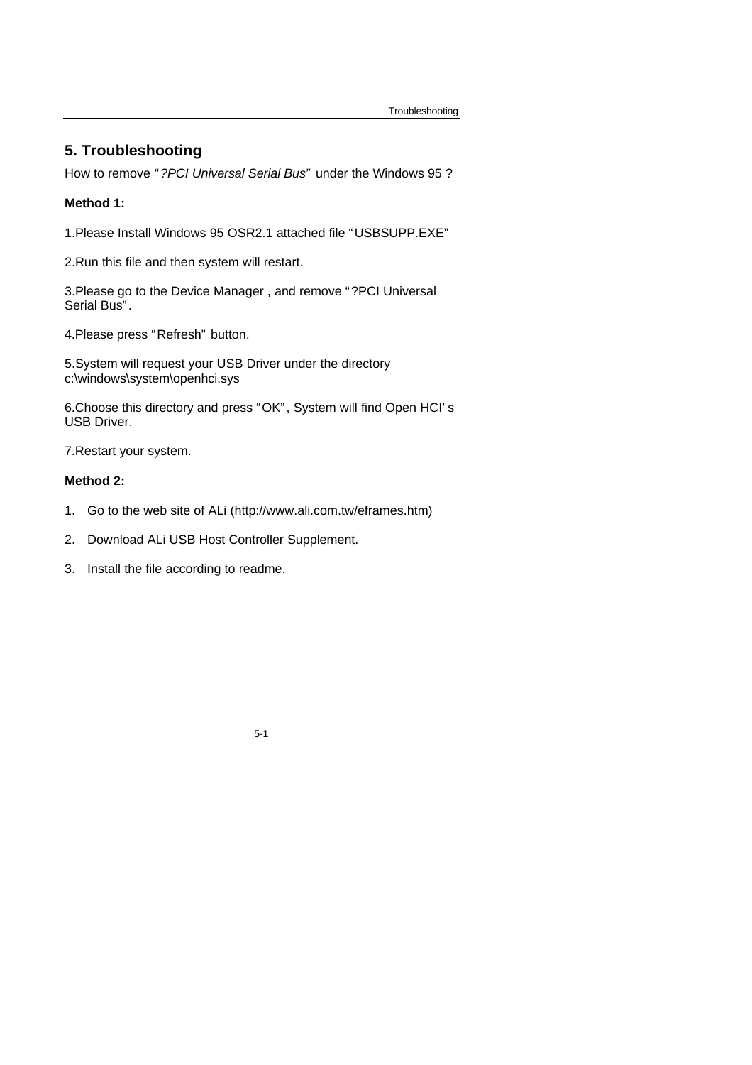# **5. Troubleshooting**

How to remove *" ?PCI Universal Serial Bus"* under the Windows 95 ?

## **Method 1:**

1.Please Install Windows 95 OSR2.1 attached file "USBSUPP.EXE"

2.Run this file and then system will restart.

3.Please go to the Device Manager , and remove "?PCI Universal Serial Bus".

4.Please press "Refresh" button.

5.System will request your USB Driver under the directory c:\windows\system\openhci.sys

6.Choose this directory and press "OK", System will find Open HCI' s USB Driver.

7.Restart your system.

# **Method 2:**

- 1. Go to the web site of ALi (http://www.ali.com.tw/eframes.htm)
- 2. Download ALi USB Host Controller Supplement.
- 3. Install the file according to readme.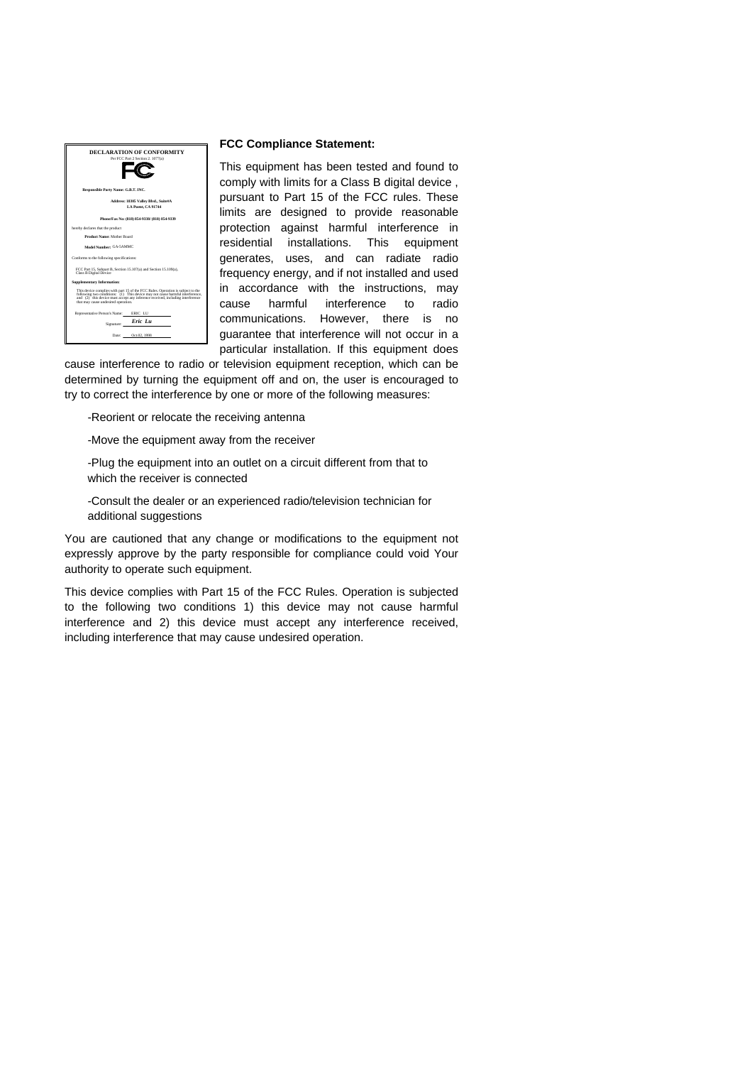

#### **FCC Compliance Statement:**

This equipment has been tested and found to comply with limits for a Class B digital device , pursuant to Part 15 of the FCC rules. These limits are designed to provide reasonable protection against harmful interference in residential installations. This equipment generates, uses, and can radiate radio frequency energy, and if not installed and used in accordance with the instructions, may cause harmful interference to radio communications. However, there is no guarantee that interference will not occur in a particular installation. If this equipment does

cause interference to radio or television equipment reception, which can be determined by turning the equipment off and on, the user is encouraged to try to correct the interference by one or more of the following measures:

-Reorient or relocate the receiving antenna

-Move the equipment away from the receiver

-Plug the equipment into an outlet on a circuit different from that to which the receiver is connected

-Consult the dealer or an experienced radio/television technician for additional suggestions

You are cautioned that any change or modifications to the equipment not expressly approve by the party responsible for compliance could void Your authority to operate such equipment.

This device complies with Part 15 of the FCC Rules. Operation is subjected to the following two conditions 1) this device may not cause harmful interference and 2) this device must accept any interference received, including interference that may cause undesired operation.